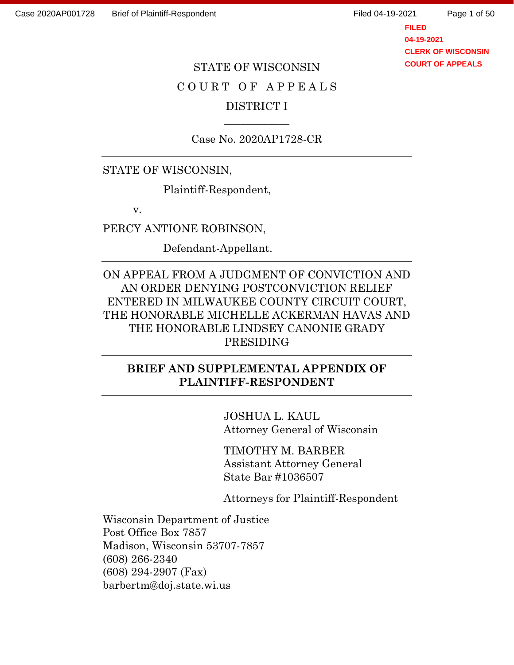Page 1 of 50

**FILED 04-19-2021 CLERK OF WISCONSIN COURT OF APPEALS**

# STATE OF WISCONSIN C O U R T O F A P P E A L S DISTRICT I

Case No. 2020AP1728-CR

 $\overline{\phantom{a}}$ 

STATE OF WISCONSIN,

Plaintiff-Respondent,

v.

PERCY ANTIONE ROBINSON,

Defendant-Appellant.

ON APPEAL FROM A JUDGMENT OF CONVICTION AND AN ORDER DENYING POSTCONVICTION RELIEF ENTERED IN MILWAUKEE COUNTY CIRCUIT COURT, THE HONORABLE MICHELLE ACKERMAN HAVAS AND THE HONORABLE LINDSEY CANONIE GRADY PRESIDING

## **BRIEF AND SUPPLEMENTAL APPENDIX OF PLAINTIFF-RESPONDENT**

JOSHUA L. KAUL Attorney General of Wisconsin

TIMOTHY M. BARBER Assistant Attorney General State Bar #1036507

Attorneys for Plaintiff-Respondent

Wisconsin Department of Justice Post Office Box 7857 Madison, Wisconsin 53707-7857 (608) 266-2340 (608) 294-2907 (Fax) barbertm@doj.state.wi.us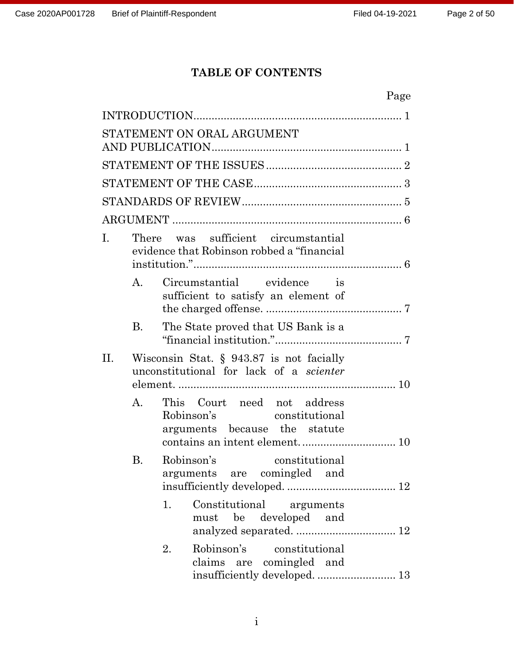## **TABLE OF CONTENTS**

|    |           |    | Page                                                                                          |  |
|----|-----------|----|-----------------------------------------------------------------------------------------------|--|
|    |           |    |                                                                                               |  |
|    |           |    | STATEMENT ON ORAL ARGUMENT                                                                    |  |
|    |           |    |                                                                                               |  |
|    |           |    |                                                                                               |  |
|    |           |    |                                                                                               |  |
|    |           |    |                                                                                               |  |
|    |           |    |                                                                                               |  |
| I. |           |    | There was sufficient circumstantial<br>evidence that Robinson robbed a "financial"            |  |
|    | A.        |    | Circumstantial evidence is<br>sufficient to satisfy an element of                             |  |
|    | <b>B.</b> |    | The State proved that US Bank is a                                                            |  |
| П. |           |    | Wisconsin Stat. $\S$ 943.87 is not facially<br>unconstitutional for lack of a <i>scienter</i> |  |
|    | A.        |    | This Court need not address<br>Robinson's constitutional<br>arguments because the statute     |  |
|    | B.        |    | Robinson's<br>constitutional<br>arguments are comingled and                                   |  |
|    |           | 1. | Constitutional arguments<br>must be developed and                                             |  |
|    |           | 2. | Robinson's constitutional<br>claims are comingled and<br>insufficiently developed.  13        |  |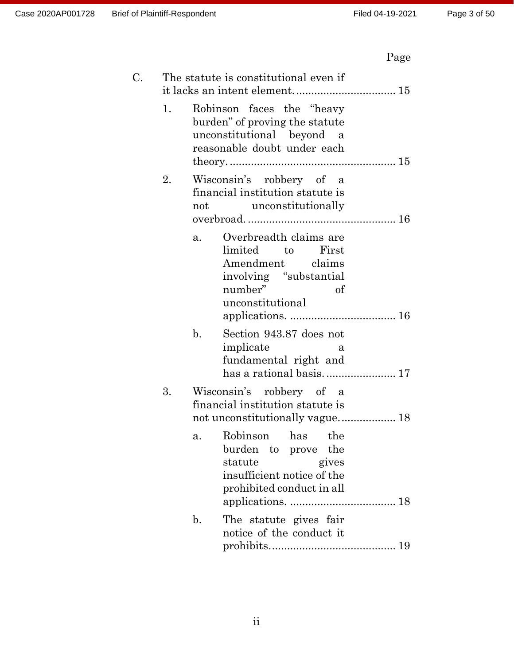# Page

| C. |    | The statute is constitutional even if                                                                                                  |
|----|----|----------------------------------------------------------------------------------------------------------------------------------------|
|    | 1. | Robinson faces the "heavy<br>burden" of proving the statute<br>unconstitutional beyond a<br>reasonable doubt under each                |
|    | 2. | Wisconsin's robbery of a<br>financial institution statute is<br>not unconstitutionally                                                 |
|    |    | Overbreadth claims are<br>a.<br>First<br>limited to<br>Amendment claims<br>involving "substantial<br>number"<br>of<br>unconstitutional |
|    |    | b.<br>Section 943.87 does not<br>implicate<br>a<br>fundamental right and                                                               |
|    | 3. | Wisconsin's robbery of a<br>financial institution statute is<br>not unconstitutionally vague 18                                        |
|    |    | a. Robinson<br>has the<br>burden to prove the<br>statute<br>gives<br>insufficient notice of the<br>prohibited conduct in all           |
|    |    | The statute gives fair<br>$\mathbf{b}$ .<br>notice of the conduct it                                                                   |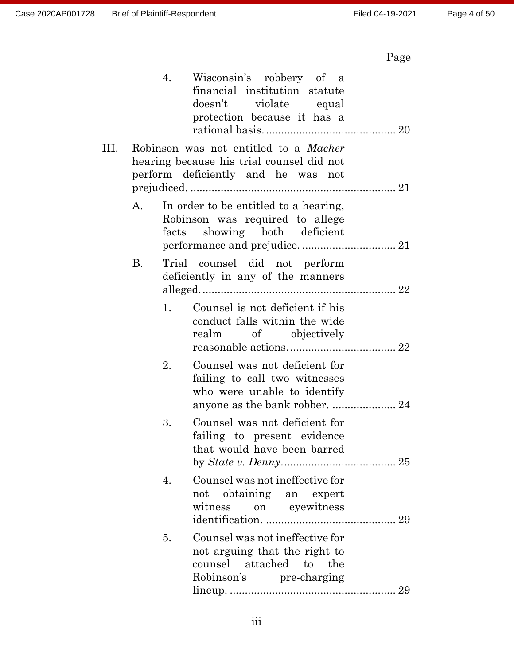# Page

|    |           | 4. | Wisconsin's robbery of a<br>financial institution statute<br>doesn't violate equal<br>protection because it has a               |
|----|-----------|----|---------------------------------------------------------------------------------------------------------------------------------|
| Ш. |           |    | Robinson was not entitled to a <i>Macher</i><br>hearing because his trial counsel did not<br>perform deficiently and he was not |
|    | A.        |    | In order to be entitled to a hearing,<br>Robinson was required to allege<br>facts showing both deficient                        |
|    | <b>B.</b> |    | Trial counsel did not perform<br>deficiently in any of the manners                                                              |
|    |           | 1. | Counsel is not deficient if his<br>conduct falls within the wide<br>realm of objectively                                        |
|    |           | 2. | Counsel was not deficient for<br>failing to call two witnesses<br>who were unable to identify                                   |
|    |           | 3. | Counsel was not deficient for<br>failing to present evidence<br>that would have been barred                                     |
|    |           | 4. | Counsel was not ineffective for<br>not obtaining an expert<br>on eyewitness<br>witness                                          |
|    |           | 5. | Counsel was not ineffective for<br>not arguing that the right to<br>counsel attached to the<br>Robinson's pre-charging          |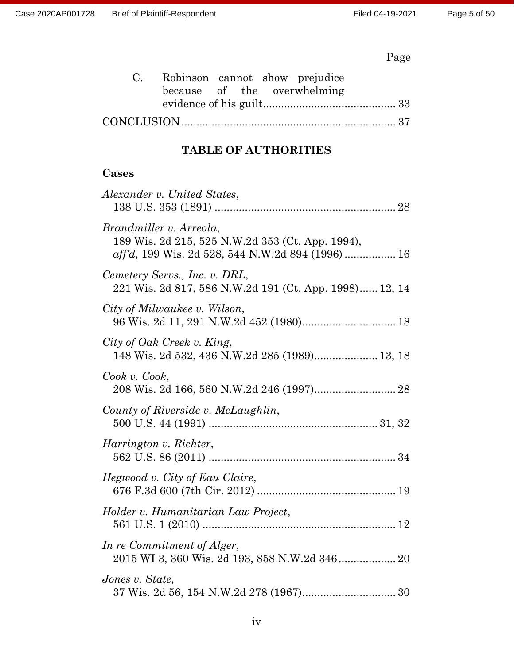# Page

| C. Robinson cannot show prejudice |  |                             |  |
|-----------------------------------|--|-----------------------------|--|
|                                   |  | because of the overwhelming |  |
|                                   |  |                             |  |
|                                   |  |                             |  |

## **TABLE OF AUTHORITIES**

## **Cases**

| Alexander v. United States,                                                                                                     |
|---------------------------------------------------------------------------------------------------------------------------------|
| Brandmiller v. Arreola,<br>189 Wis. 2d 215, 525 N.W.2d 353 (Ct. App. 1994),<br>aff'd, 199 Wis. 2d 528, 544 N.W.2d 894 (1996) 16 |
| Cemetery Servs., Inc. v. DRL,<br>221 Wis. 2d 817, 586 N.W.2d 191 (Ct. App. 1998) 12, 14                                         |
| City of Milwaukee v. Wilson,                                                                                                    |
| City of Oak Creek v. King,<br>148 Wis. 2d 532, 436 N.W.2d 285 (1989) 13, 18                                                     |
| Cook v. Cook,                                                                                                                   |
| County of Riverside v. McLaughlin,                                                                                              |
| Harrington v. Richter,                                                                                                          |
| Hegwood v. City of Eau Claire,                                                                                                  |
| Holder v. Humanitarian Law Project,                                                                                             |
| In re Commitment of Alger,<br>2015 WI 3, 360 Wis. 2d 193, 858 N.W.2d 346 20                                                     |
| Jones v. State,                                                                                                                 |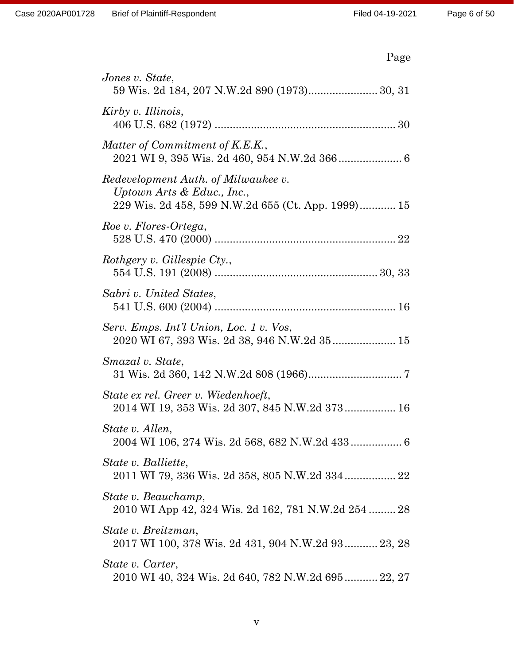| Jones v. State,<br>59 Wis. 2d 184, 207 N.W.2d 890 (1973) 30, 31                                                            |
|----------------------------------------------------------------------------------------------------------------------------|
| Kirby v. Illinois,                                                                                                         |
| Matter of Commitment of K.E.K.,                                                                                            |
| Redevelopment Auth. of Milwaukee v.<br>Uptown Arts $\&$ Educ., Inc.,<br>229 Wis. 2d 458, 599 N.W.2d 655 (Ct. App. 1999) 15 |
| Roe v. Flores-Ortega,                                                                                                      |
| Rothgery v. Gillespie Cty.,                                                                                                |
| Sabri v. United States,                                                                                                    |
| Serv. Emps. Int'l Union, Loc. 1 v. Vos,<br>2020 WI 67, 393 Wis. 2d 38, 946 N.W.2d 35 15                                    |
| <i>Smazal</i> v. <i>State</i> ,                                                                                            |
| State ex rel. Greer v. Wiedenhoeft,<br>2014 WI 19, 353 Wis. 2d 307, 845 N.W.2d 373 16                                      |
| State v. Allen,<br>2004 WI 106, 274 Wis. 2d 568, 682 N.W.2d 433 6                                                          |
| State v. Balliette,<br>2011 WI 79, 336 Wis. 2d 358, 805 N.W.2d 334 22                                                      |
| State v. Beauchamp,<br>2010 WI App 42, 324 Wis. 2d 162, 781 N.W.2d 254  28                                                 |
| State v. Breitzman,<br>2017 WI 100, 378 Wis. 2d 431, 904 N.W.2d 93 23, 28                                                  |
| State v. Carter,<br>2010 WI 40, 324 Wis. 2d 640, 782 N.W.2d 695 22, 27                                                     |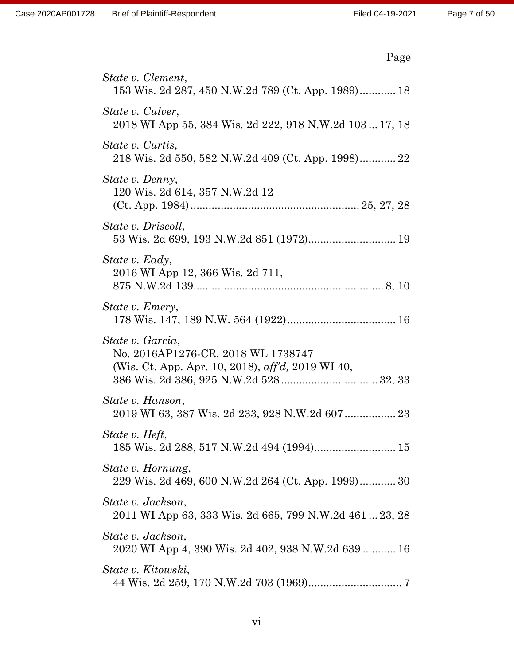| Page                                                                                                        |
|-------------------------------------------------------------------------------------------------------------|
| State v. Clement,<br>153 Wis. 2d 287, 450 N.W.2d 789 (Ct. App. 1989) 18                                     |
| State v. Culver,<br>2018 WI App 55, 384 Wis. 2d 222, 918 N.W.2d 103  17, 18                                 |
| State v. Curtis,<br>218 Wis. 2d 550, 582 N.W.2d 409 (Ct. App. 1998) 22                                      |
| State v. Denny,<br>120 Wis. 2d 614, 357 N.W.2d 12                                                           |
| State v. Driscoll,                                                                                          |
| State v. Eady,<br>2016 WI App 12, 366 Wis. 2d 711,                                                          |
| State v. Emery,                                                                                             |
| State v. Garcia,<br>No. 2016AP1276-CR, 2018 WL 1738747<br>(Wis. Ct. App. Apr. 10, 2018), aff'd, 2019 WI 40, |
| State v. Hanson,                                                                                            |
| State v. Heft,<br>185 Wis. 2d 288, 517 N.W.2d 494 (1994) 15                                                 |
| State v. Hornung,<br>229 Wis. 2d 469, 600 N.W.2d 264 (Ct. App. 1999) 30                                     |
| State v. Jackson,<br>2011 WI App 63, 333 Wis. 2d 665, 799 N.W.2d 461  23, 28                                |
| State v. Jackson,<br>2020 WI App 4, 390 Wis. 2d 402, 938 N.W.2d 639  16                                     |
| State v. Kitowski,                                                                                          |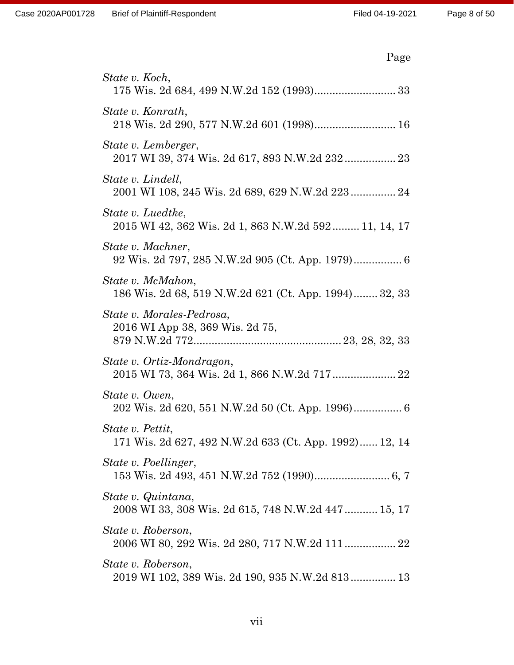| I F<br>я |
|----------|
|----------|

| State v. Koch,                                                             |
|----------------------------------------------------------------------------|
| State v. Konrath,<br>218 Wis. 2d 290, 577 N.W.2d 601 (1998) 16             |
| State v. Lemberger,<br>2017 WI 39, 374 Wis. 2d 617, 893 N.W.2d 232 23      |
| State v. Lindell,<br>2001 WI 108, 245 Wis. 2d 689, 629 N.W.2d 223 24       |
| State v. Luedtke,<br>2015 WI 42, 362 Wis. 2d 1, 863 N.W.2d 592 11, 14, 17  |
| State v. Machner,                                                          |
| State v. McMahon,<br>186 Wis. 2d 68, 519 N.W.2d 621 (Ct. App. 1994) 32, 33 |
| State v. Morales-Pedrosa,<br>2016 WI App 38, 369 Wis. 2d 75,               |
| State v. Ortiz-Mondragon,<br>2015 WI 73, 364 Wis. 2d 1, 866 N.W.2d 717 22  |
| State v. Owen,                                                             |
| State v. Pettit,<br>171 Wis. 2d 627, 492 N.W.2d 633 (Ct. App. 1992) 12, 14 |
| State v. Poellinger,                                                       |
| State v. Quintana,<br>2008 WI 33, 308 Wis. 2d 615, 748 N.W.2d 447 15, 17   |
| State v. Roberson,                                                         |
| State v. Roberson,<br>2019 WI 102, 389 Wis. 2d 190, 935 N.W.2d 813 13      |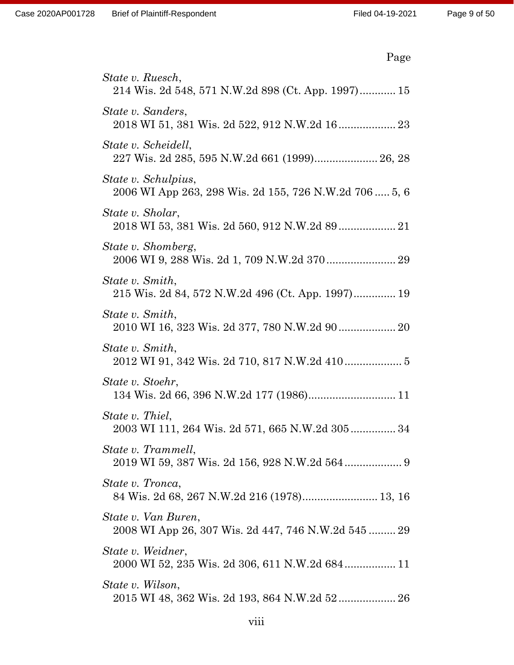| Page                                                                         |
|------------------------------------------------------------------------------|
| State v. Ruesch,<br>214 Wis. 2d 548, 571 N.W.2d 898 (Ct. App. 1997) 15       |
| State v. Sanders,<br>2018 WI 51, 381 Wis. 2d 522, 912 N.W.2d 16 23           |
| State v. Scheidell,<br>227 Wis. 2d 285, 595 N.W.2d 661 (1999) 26, 28         |
| State v. Schulpius,<br>2006 WI App 263, 298 Wis. 2d 155, 726 N.W.2d 706 5, 6 |
| State v. Sholar,                                                             |
| State v. Shomberg,<br>2006 WI 9, 288 Wis. 2d 1, 709 N.W.2d 370 29            |
| State v. Smith,<br>215 Wis. 2d 84, 572 N.W.2d 496 (Ct. App. 1997) 19         |
| State v. Smith,                                                              |
| State v. Smith,                                                              |
| State v. Stoehr,<br>134 Wis. 2d 66, 396 N.W.2d 177 (1986) 11                 |
| State v. Thiel,<br>2003 WI 111, 264 Wis. 2d 571, 665 N.W.2d 305 34           |
| State v. Trammell,<br>2019 WI 59, 387 Wis. 2d 156, 928 N.W.2d 564 9          |
| State v. Tronca,<br>84 Wis. 2d 68, 267 N.W.2d 216 (1978) 13, 16              |
| State v. Van Buren,<br>2008 WI App 26, 307 Wis. 2d 447, 746 N.W.2d 545  29   |
| State v. Weidner,                                                            |
| State v. Wilson,                                                             |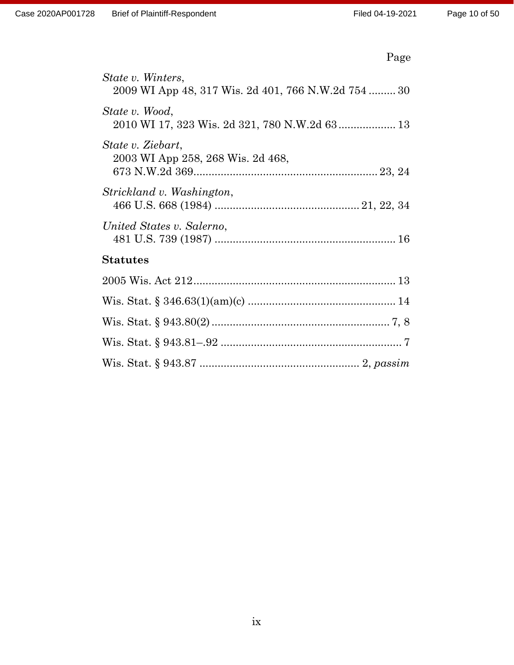| Ω<br>- 1<br>۰ |
|---------------|
|---------------|

| State v. Winters,<br>2009 WI App 48, 317 Wis. 2d 401, 766 N.W.2d 754  30 |
|--------------------------------------------------------------------------|
| State v. Wood,<br>2010 WI 17, 323 Wis. 2d 321, 780 N.W.2d 63 13          |
| State v. Ziebart,<br>2003 WI App 258, 268 Wis. 2d 468,                   |
| Strickland v. Washington,                                                |
| United States v. Salerno,                                                |
| <b>Statutes</b>                                                          |
|                                                                          |
|                                                                          |
|                                                                          |
|                                                                          |
|                                                                          |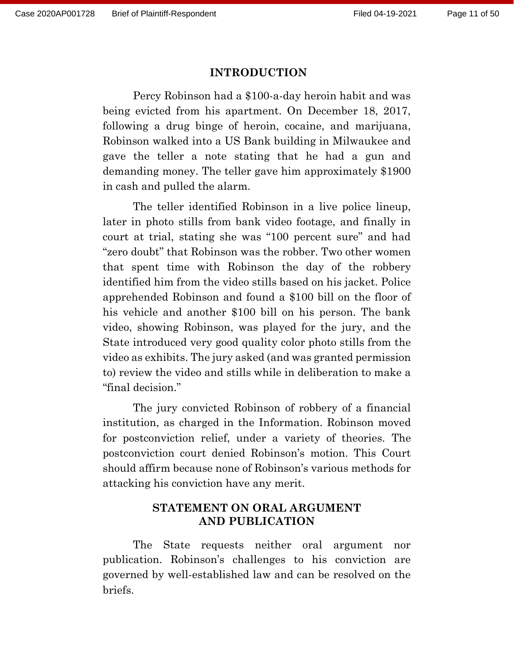#### **INTRODUCTION**

Percy Robinson had a \$100-a-day heroin habit and was being evicted from his apartment. On December 18, 2017, following a drug binge of heroin, cocaine, and marijuana, Robinson walked into a US Bank building in Milwaukee and gave the teller a note stating that he had a gun and demanding money. The teller gave him approximately \$1900 in cash and pulled the alarm.

The teller identified Robinson in a live police lineup, later in photo stills from bank video footage, and finally in court at trial, stating she was "100 percent sure" and had "zero doubt" that Robinson was the robber. Two other women that spent time with Robinson the day of the robbery identified him from the video stills based on his jacket. Police apprehended Robinson and found a \$100 bill on the floor of his vehicle and another \$100 bill on his person. The bank video, showing Robinson, was played for the jury, and the State introduced very good quality color photo stills from the video as exhibits. The jury asked (and was granted permission to) review the video and stills while in deliberation to make a "final decision."

The jury convicted Robinson of robbery of a financial institution, as charged in the Information. Robinson moved for postconviction relief, under a variety of theories. The postconviction court denied Robinson's motion. This Court should affirm because none of Robinson's various methods for attacking his conviction have any merit.

#### **STATEMENT ON ORAL ARGUMENT AND PUBLICATION**

The State requests neither oral argument nor publication. Robinson's challenges to his conviction are governed by well-established law and can be resolved on the briefs.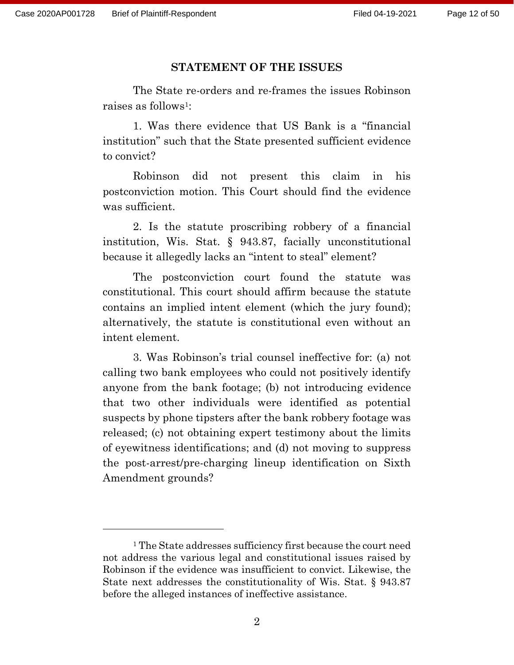#### **STATEMENT OF THE ISSUES**

The State re-orders and re-frames the issues Robinson raises as follows1:

1. Was there evidence that US Bank is a "financial institution" such that the State presented sufficient evidence to convict?

Robinson did not present this claim in his postconviction motion. This Court should find the evidence was sufficient.

2. Is the statute proscribing robbery of a financial institution, Wis. Stat. § 943.87, facially unconstitutional because it allegedly lacks an "intent to steal" element?

The postconviction court found the statute was constitutional. This court should affirm because the statute contains an implied intent element (which the jury found); alternatively, the statute is constitutional even without an intent element.

3. Was Robinson's trial counsel ineffective for: (a) not calling two bank employees who could not positively identify anyone from the bank footage; (b) not introducing evidence that two other individuals were identified as potential suspects by phone tipsters after the bank robbery footage was released; (c) not obtaining expert testimony about the limits of eyewitness identifications; and (d) not moving to suppress the post-arrest/pre-charging lineup identification on Sixth Amendment grounds?

<sup>1</sup> The State addresses sufficiency first because the court need not address the various legal and constitutional issues raised by Robinson if the evidence was insufficient to convict. Likewise, the State next addresses the constitutionality of Wis. Stat. § 943.87 before the alleged instances of ineffective assistance.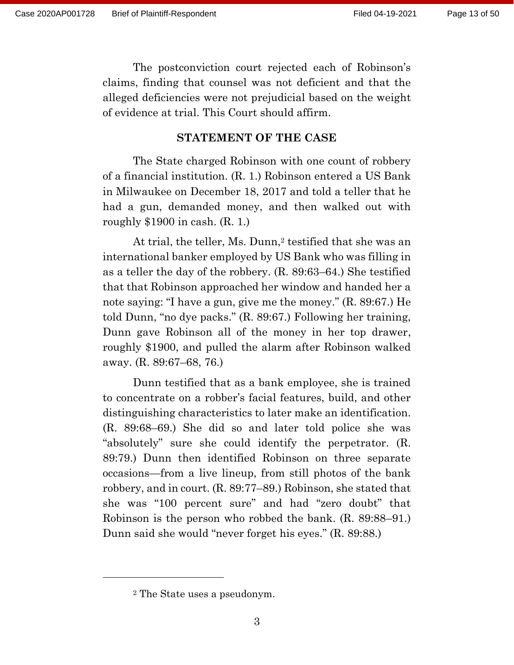The postconviction court rejected each of Robinson's claims, finding that counsel was not deficient and that the alleged deficiencies were not prejudicial based on the weight of evidence at trial. This Court should affirm.

#### **STATEMENT OF THE CASE**

The State charged Robinson with one count of robbery of a financial institution. (R. 1.) Robinson entered a US Bank in Milwaukee on December 18, 2017 and told a teller that he had a gun, demanded money, and then walked out with roughly \$1900 in cash. (R. 1.)

At trial, the teller, Ms. Dunn,<sup>2</sup> testified that she was an international banker employed by US Bank who was filling in as a teller the day of the robbery. (R. 89:63–64.) She testified that that Robinson approached her window and handed her a note saying: "I have a gun, give me the money." (R. 89:67.) He told Dunn, "no dye packs." (R. 89:67.) Following her training, Dunn gave Robinson all of the money in her top drawer, roughly \$1900, and pulled the alarm after Robinson walked away. (R. 89:67–68, 76.)

Dunn testified that as a bank employee, she is trained to concentrate on a robber's facial features, build, and other distinguishing characteristics to later make an identification. (R. 89:68–69.) She did so and later told police she was "absolutely" sure she could identify the perpetrator. (R. 89:79.) Dunn then identified Robinson on three separate occasions—from a live lineup, from still photos of the bank robbery, and in court. (R. 89:77–89.) Robinson, she stated that she was "100 percent sure" and had "zero doubt" that Robinson is the person who robbed the bank. (R. 89:88–91.) Dunn said she would "never forget his eyes." (R. 89:88.)

<sup>2</sup> The State uses a pseudonym.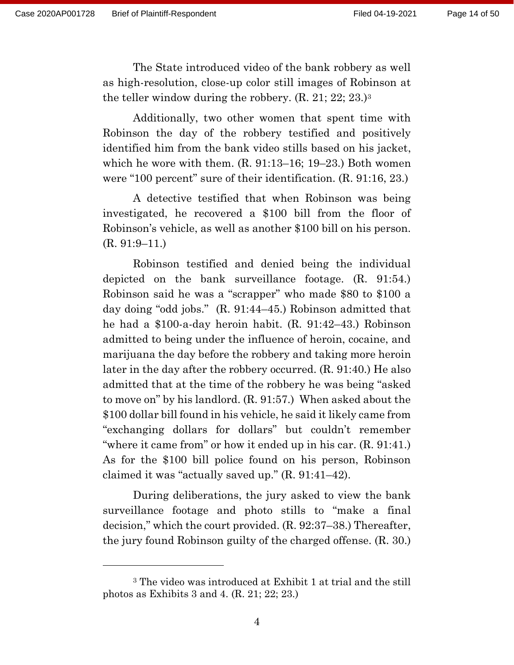The State introduced video of the bank robbery as well as high-resolution, close-up color still images of Robinson at the teller window during the robbery. (R. 21; 22; 23.)<sup>3</sup>

Additionally, two other women that spent time with Robinson the day of the robbery testified and positively identified him from the bank video stills based on his jacket, which he wore with them. (R. 91:13–16; 19–23.) Both women were "100 percent" sure of their identification. (R. 91:16, 23.)

A detective testified that when Robinson was being investigated, he recovered a \$100 bill from the floor of Robinson's vehicle, as well as another \$100 bill on his person. (R. 91:9–11.)

Robinson testified and denied being the individual depicted on the bank surveillance footage. (R. 91:54.) Robinson said he was a "scrapper" who made \$80 to \$100 a day doing "odd jobs." (R. 91:44–45.) Robinson admitted that he had a \$100-a-day heroin habit. (R. 91:42–43.) Robinson admitted to being under the influence of heroin, cocaine, and marijuana the day before the robbery and taking more heroin later in the day after the robbery occurred. (R. 91:40.) He also admitted that at the time of the robbery he was being "asked to move on" by his landlord. (R. 91:57.) When asked about the \$100 dollar bill found in his vehicle, he said it likely came from "exchanging dollars for dollars" but couldn't remember "where it came from" or how it ended up in his car. (R. 91:41.) As for the \$100 bill police found on his person, Robinson claimed it was "actually saved up." (R. 91:41–42).

During deliberations, the jury asked to view the bank surveillance footage and photo stills to "make a final decision," which the court provided. (R. 92:37–38.) Thereafter, the jury found Robinson guilty of the charged offense. (R. 30.)

<sup>3</sup> The video was introduced at Exhibit 1 at trial and the still photos as Exhibits 3 and 4. (R. 21; 22; 23.)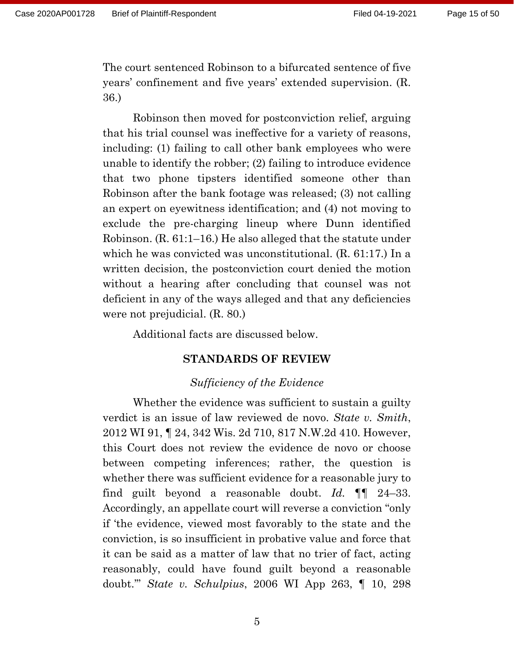The court sentenced Robinson to a bifurcated sentence of five years' confinement and five years' extended supervision. (R. 36.)

Robinson then moved for postconviction relief, arguing that his trial counsel was ineffective for a variety of reasons, including: (1) failing to call other bank employees who were unable to identify the robber; (2) failing to introduce evidence that two phone tipsters identified someone other than Robinson after the bank footage was released; (3) not calling an expert on eyewitness identification; and (4) not moving to exclude the pre-charging lineup where Dunn identified Robinson. (R. 61:1–16.) He also alleged that the statute under which he was convicted was unconstitutional. (R. 61:17.) In a written decision, the postconviction court denied the motion without a hearing after concluding that counsel was not deficient in any of the ways alleged and that any deficiencies were not prejudicial. (R. 80.)

Additional facts are discussed below.

#### **STANDARDS OF REVIEW**

#### *Sufficiency of the Evidence*

Whether the evidence was sufficient to sustain a guilty verdict is an issue of law reviewed de novo. *State v. Smith*, 2012 WI 91, ¶ 24, 342 Wis. 2d 710, 817 N.W.2d 410. However, this Court does not review the evidence de novo or choose between competing inferences; rather, the question is whether there was sufficient evidence for a reasonable jury to find guilt beyond a reasonable doubt. *Id.* ¶¶ 24–33. Accordingly, an appellate court will reverse a conviction "only if 'the evidence, viewed most favorably to the state and the conviction, is so insufficient in probative value and force that it can be said as a matter of law that no trier of fact, acting reasonably, could have found guilt beyond a reasonable doubt.'" *State v. Schulpius*, 2006 WI App 263, ¶ 10, 298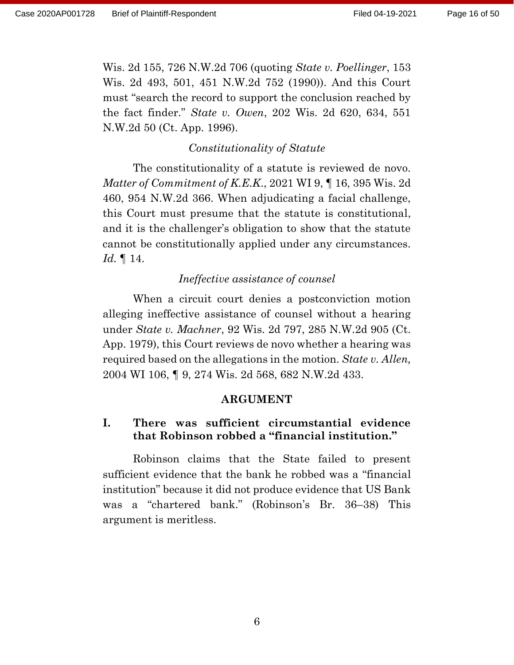Wis. 2d 155, 726 N.W.2d 706 (quoting *State v. Poellinger*, 153 Wis. 2d 493, 501, 451 N.W.2d 752 (1990)). And this Court must "search the record to support the conclusion reached by the fact finder." *State v. Owen*, 202 Wis. 2d 620, 634, 551 N.W.2d 50 (Ct. App. 1996).

#### *Constitutionality of Statute*

The constitutionality of a statute is reviewed de novo. *Matter of Commitment of K.E.K*., 2021 WI 9, ¶ 16, 395 Wis. 2d 460, 954 N.W.2d 366. When adjudicating a facial challenge, this Court must presume that the statute is constitutional, and it is the challenger's obligation to show that the statute cannot be constitutionally applied under any circumstances. *Id.* ¶ 14.

#### *Ineffective assistance of counsel*

When a circuit court denies a postconviction motion alleging ineffective assistance of counsel without a hearing under *State v. Machner*, 92 Wis. 2d 797, 285 N.W.2d 905 (Ct. App. 1979), this Court reviews de novo whether a hearing was required based on the allegations in the motion. *State v. Allen,*  2004 WI 106, ¶ 9, 274 Wis. 2d 568, 682 N.W.2d 433.

#### **ARGUMENT**

### **I. There was sufficient circumstantial evidence that Robinson robbed a "financial institution."**

Robinson claims that the State failed to present sufficient evidence that the bank he robbed was a "financial institution" because it did not produce evidence that US Bank was a "chartered bank." (Robinson's Br. 36–38) This argument is meritless.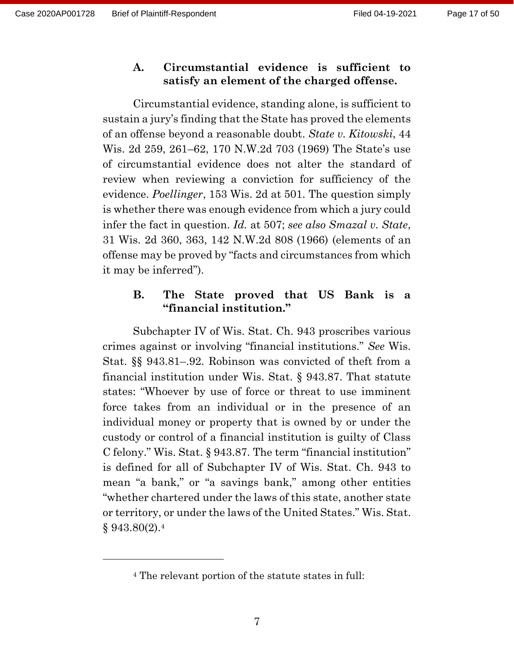#### **A. Circumstantial evidence is sufficient to satisfy an element of the charged offense.**

Circumstantial evidence, standing alone, is sufficient to sustain a jury's finding that the State has proved the elements of an offense beyond a reasonable doubt. *State v. Kitowski*, 44 Wis. 2d 259, 261–62, 170 N.W.2d 703 (1969) The State's use of circumstantial evidence does not alter the standard of review when reviewing a conviction for sufficiency of the evidence. *Poellinger*, 153 Wis. 2d at 501. The question simply is whether there was enough evidence from which a jury could infer the fact in question. *Id.* at 507; *see also Smazal v. State*, 31 Wis. 2d 360, 363, 142 N.W.2d 808 (1966) (elements of an offense may be proved by "facts and circumstances from which it may be inferred").

## **B. The State proved that US Bank is a "financial institution."**

Subchapter IV of Wis. Stat. Ch. 943 proscribes various crimes against or involving "financial institutions." *See* Wis. Stat. §§ 943.81–.92. Robinson was convicted of theft from a financial institution under Wis. Stat. § 943.87. That statute states: "Whoever by use of force or threat to use imminent force takes from an individual or in the presence of an individual money or property that is owned by or under the custody or control of a financial institution is guilty of Class C felony." Wis. Stat. § 943.87. The term "financial institution" is defined for all of Subchapter IV of Wis. Stat. Ch. 943 to mean "a bank," or "a savings bank," among other entities "whether chartered under the laws of this state, another state or territory, or under the laws of the United States." Wis. Stat.  $§ 943.80(2).4$ 

<sup>4</sup> The relevant portion of the statute states in full: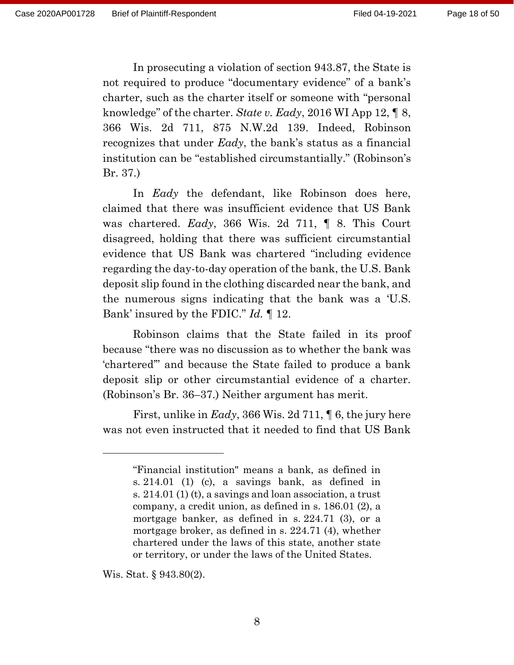In prosecuting a violation of section 943.87, the State is not required to produce "documentary evidence" of a bank's charter, such as the charter itself or someone with "personal knowledge" of the charter. *State v. Eady*, 2016 WI App 12, ¶ 8, 366 Wis. 2d 711, 875 N.W.2d 139. Indeed, Robinson recognizes that under *Eady*, the bank's status as a financial institution can be "established circumstantially." (Robinson's Br. 37.)

In *Eady* the defendant, like Robinson does here, claimed that there was insufficient evidence that US Bank was chartered. *Eady*, 366 Wis. 2d 711, ¶ 8. This Court disagreed, holding that there was sufficient circumstantial evidence that US Bank was chartered "including evidence regarding the day-to-day operation of the bank, the U.S. Bank deposit slip found in the clothing discarded near the bank, and the numerous signs indicating that the bank was a 'U.S. Bank' insured by the FDIC." *Id.* ¶ 12.

Robinson claims that the State failed in its proof because "there was no discussion as to whether the bank was 'chartered'" and because the State failed to produce a bank deposit slip or other circumstantial evidence of a charter. (Robinson's Br. 36–37.) Neither argument has merit.

First, unlike in *Eady*, 366 Wis. 2d 711, ¶ 6, the jury here was not even instructed that it needed to find that US Bank

Wis. Stat. § 943.80(2).

<sup>&</sup>quot;Financial institution" means a bank, as defined in s. 214.01 (1) (c), a savings bank, as defined in s. 214.01 (1) (t), a savings and loan association, a trust company, a credit union, as defined in s. 186.01 (2), a mortgage banker, as defined in s. 224.71 (3), or a mortgage broker, as defined in s. 224.71 (4), whether chartered under the laws of this state, another state or territory, or under the laws of the United States.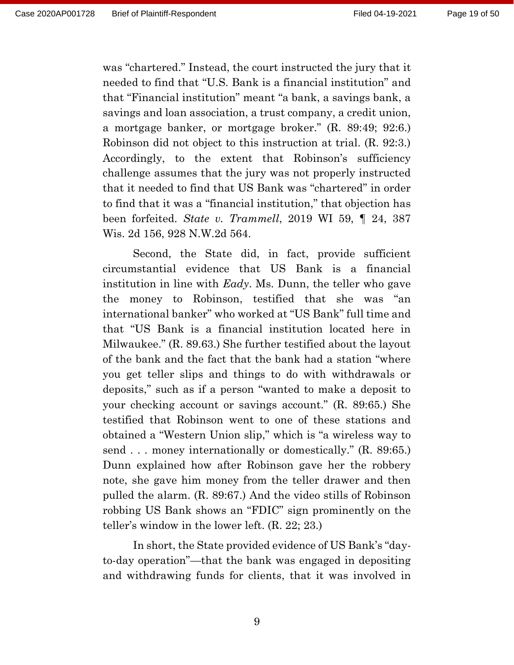was "chartered." Instead, the court instructed the jury that it needed to find that "U.S. Bank is a financial institution" and that "Financial institution" meant "a bank, a savings bank, a savings and loan association, a trust company, a credit union, a mortgage banker, or mortgage broker." (R. 89:49; 92:6.) Robinson did not object to this instruction at trial. (R. 92:3.) Accordingly, to the extent that Robinson's sufficiency challenge assumes that the jury was not properly instructed that it needed to find that US Bank was "chartered" in order to find that it was a "financial institution," that objection has been forfeited. *State v. Trammell*, 2019 WI 59, ¶ 24, 387 Wis. 2d 156, 928 N.W.2d 564.

Second, the State did, in fact, provide sufficient circumstantial evidence that US Bank is a financial institution in line with *Eady*. Ms. Dunn, the teller who gave the money to Robinson, testified that she was "an international banker" who worked at "US Bank" full time and that "US Bank is a financial institution located here in Milwaukee." (R. 89.63.) She further testified about the layout of the bank and the fact that the bank had a station "where you get teller slips and things to do with withdrawals or deposits," such as if a person "wanted to make a deposit to your checking account or savings account." (R. 89:65.) She testified that Robinson went to one of these stations and obtained a "Western Union slip," which is "a wireless way to send . . . money internationally or domestically." (R. 89:65.) Dunn explained how after Robinson gave her the robbery note, she gave him money from the teller drawer and then pulled the alarm. (R. 89:67.) And the video stills of Robinson robbing US Bank shows an "FDIC" sign prominently on the teller's window in the lower left. (R. 22; 23.)

In short, the State provided evidence of US Bank's "dayto-day operation"—that the bank was engaged in depositing and withdrawing funds for clients, that it was involved in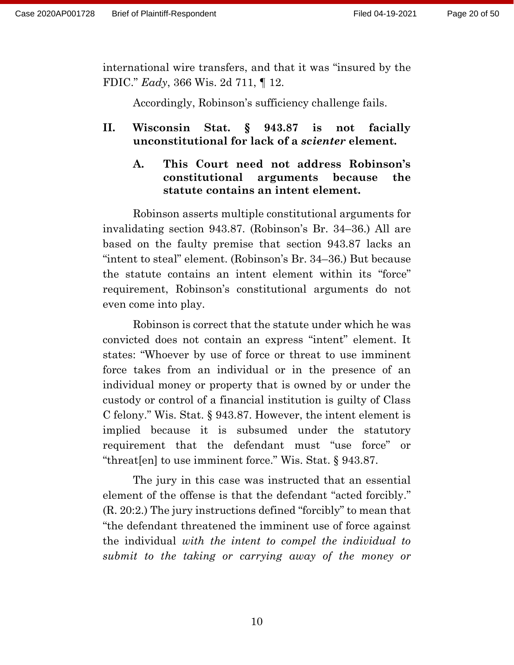international wire transfers, and that it was "insured by the FDIC." *Eady*, 366 Wis. 2d 711, ¶ 12.

Accordingly, Robinson's sufficiency challenge fails.

## **II. Wisconsin Stat. § 943.87 is not facially unconstitutional for lack of a** *scienter* **element.**

**A. This Court need not address Robinson's constitutional arguments because the statute contains an intent element.**

Robinson asserts multiple constitutional arguments for invalidating section 943.87. (Robinson's Br. 34–36.) All are based on the faulty premise that section 943.87 lacks an "intent to steal" element. (Robinson's Br. 34–36.) But because the statute contains an intent element within its "force" requirement, Robinson's constitutional arguments do not even come into play.

Robinson is correct that the statute under which he was convicted does not contain an express "intent" element. It states: "Whoever by use of force or threat to use imminent force takes from an individual or in the presence of an individual money or property that is owned by or under the custody or control of a financial institution is guilty of Class C felony." Wis. Stat. § 943.87. However, the intent element is implied because it is subsumed under the statutory requirement that the defendant must "use force" or "threat[en] to use imminent force." Wis. Stat. § 943.87.

The jury in this case was instructed that an essential element of the offense is that the defendant "acted forcibly." (R. 20:2.) The jury instructions defined "forcibly" to mean that "the defendant threatened the imminent use of force against the individual *with the intent to compel the individual to submit to the taking or carrying away of the money or*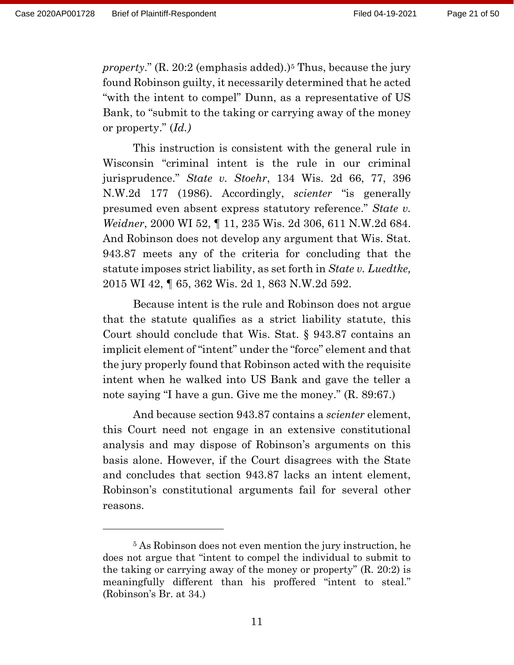*property*." (R. 20:2 (emphasis added).) <sup>5</sup> Thus, because the jury found Robinson guilty, it necessarily determined that he acted "with the intent to compel" Dunn, as a representative of US Bank, to "submit to the taking or carrying away of the money or property." (*Id.)*

This instruction is consistent with the general rule in Wisconsin "criminal intent is the rule in our criminal jurisprudence." *State v. Stoehr*, 134 Wis. 2d 66, 77, 396 N.W.2d 177 (1986). Accordingly, *scienter* "is generally presumed even absent express statutory reference." *State v. Weidner*, 2000 WI 52, ¶ 11, 235 Wis. 2d 306, 611 N.W.2d 684. And Robinson does not develop any argument that Wis. Stat. 943.87 meets any of the criteria for concluding that the statute imposes strict liability, as set forth in *State v. Luedtke,*  2015 WI 42, ¶ 65, 362 Wis. 2d 1, 863 N.W.2d 592.

Because intent is the rule and Robinson does not argue that the statute qualifies as a strict liability statute, this Court should conclude that Wis. Stat. § 943.87 contains an implicit element of "intent" under the "force" element and that the jury properly found that Robinson acted with the requisite intent when he walked into US Bank and gave the teller a note saying "I have a gun. Give me the money." (R. 89:67.)

And because section 943.87 contains a *scienter* element, this Court need not engage in an extensive constitutional analysis and may dispose of Robinson's arguments on this basis alone. However, if the Court disagrees with the State and concludes that section 943.87 lacks an intent element, Robinson's constitutional arguments fail for several other reasons.

<sup>5</sup> As Robinson does not even mention the jury instruction, he does not argue that "intent to compel the individual to submit to the taking or carrying away of the money or property" (R. 20:2) is meaningfully different than his proffered "intent to steal." (Robinson's Br. at 34.)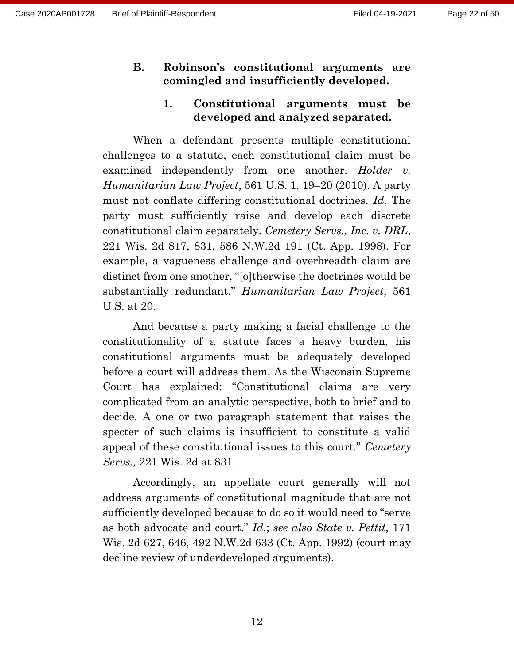#### **B. Robinson's constitutional arguments are comingled and insufficiently developed.**

### **1. Constitutional arguments must be developed and analyzed separated.**

When a defendant presents multiple constitutional challenges to a statute, each constitutional claim must be examined independently from one another. *Holder v. Humanitarian Law Project*, 561 U.S. 1, 19–20 (2010). A party must not conflate differing constitutional doctrines. *Id*. The party must sufficiently raise and develop each discrete constitutional claim separately. *Cemetery Servs., Inc. v. DRL*, 221 Wis. 2d 817, 831, 586 N.W.2d 191 (Ct. App. 1998). For example, a vagueness challenge and overbreadth claim are distinct from one another, "[o]therwise the doctrines would be substantially redundant." *Humanitarian Law Project*, 561 U.S. at 20.

And because a party making a facial challenge to the constitutionality of a statute faces a heavy burden, his constitutional arguments must be adequately developed before a court will address them. As the Wisconsin Supreme Court has explained: "Constitutional claims are very complicated from an analytic perspective, both to brief and to decide. A one or two paragraph statement that raises the specter of such claims is insufficient to constitute a valid appeal of these constitutional issues to this court." *Cemetery Servs.,* 221 Wis. 2d at 831.

Accordingly, an appellate court generally will not address arguments of constitutional magnitude that are not sufficiently developed because to do so it would need to "serve as both advocate and court." *Id.*; *see also State v. Pettit*, 171 Wis. 2d 627, 646, 492 N.W.2d 633 (Ct. App. 1992) (court may decline review of underdeveloped arguments).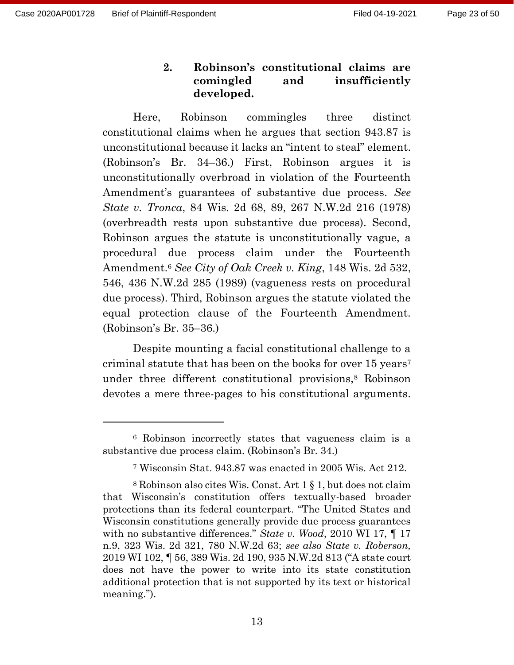## **2. Robinson's constitutional claims are comingled and insufficiently developed.**

Here, Robinson commingles three distinct constitutional claims when he argues that section 943.87 is unconstitutional because it lacks an "intent to steal" element. (Robinson's Br. 34–36.) First, Robinson argues it is unconstitutionally overbroad in violation of the Fourteenth Amendment's guarantees of substantive due process. *See State v. Tronca*, 84 Wis. 2d 68, 89, 267 N.W.2d 216 (1978) (overbreadth rests upon substantive due process). Second, Robinson argues the statute is unconstitutionally vague, a procedural due process claim under the Fourteenth Amendment.<sup>6</sup> *See City of Oak Creek v. King*, 148 Wis. 2d 532, 546, 436 N.W.2d 285 (1989) (vagueness rests on procedural due process). Third, Robinson argues the statute violated the equal protection clause of the Fourteenth Amendment. (Robinson's Br. 35–36.)

Despite mounting a facial constitutional challenge to a criminal statute that has been on the books for over 15 years<sup>7</sup> under three different constitutional provisions, <sup>8</sup> Robinson devotes a mere three-pages to his constitutional arguments.

<sup>6</sup> Robinson incorrectly states that vagueness claim is a substantive due process claim. (Robinson's Br. 34.)

<sup>7</sup> Wisconsin Stat. 943.87 was enacted in 2005 Wis. Act 212.

<sup>8</sup> Robinson also cites Wis. Const. Art 1 § 1, but does not claim that Wisconsin's constitution offers textually-based broader protections than its federal counterpart. "The United States and Wisconsin constitutions generally provide due process guarantees with no substantive differences." *State v. Wood*, 2010 WI 17, ¶ 17 n.9, 323 Wis. 2d 321, 780 N.W.2d 63; *see also State v. Roberson,*  2019 WI 102, ¶ 56, 389 Wis. 2d 190, 935 N.W.2d 813 ("A state court does not have the power to write into its state constitution additional protection that is not supported by its text or historical meaning.").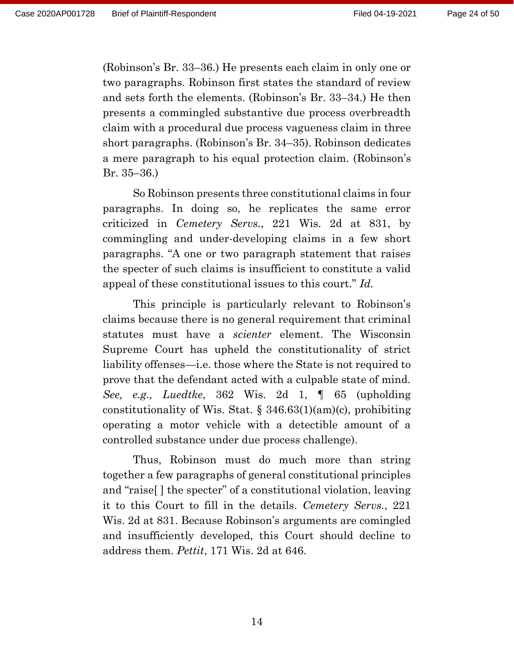(Robinson's Br. 33–36.) He presents each claim in only one or two paragraphs. Robinson first states the standard of review and sets forth the elements. (Robinson's Br. 33–34.) He then presents a commingled substantive due process overbreadth claim with a procedural due process vagueness claim in three short paragraphs. (Robinson's Br. 34–35). Robinson dedicates a mere paragraph to his equal protection claim. (Robinson's Br. 35–36.)

So Robinson presents three constitutional claims in four paragraphs. In doing so, he replicates the same error criticized in *Cemetery Servs.*, 221 Wis. 2d at 831, by commingling and under-developing claims in a few short paragraphs. "A one or two paragraph statement that raises the specter of such claims is insufficient to constitute a valid appeal of these constitutional issues to this court." *Id.* 

This principle is particularly relevant to Robinson's claims because there is no general requirement that criminal statutes must have a *scienter* element. The Wisconsin Supreme Court has upheld the constitutionality of strict liability offenses—i.e. those where the State is not required to prove that the defendant acted with a culpable state of mind. *See, e.g., Luedtke*, 362 Wis. 2d 1, ¶ 65 (upholding constitutionality of Wis. Stat. § 346.63(1)(am)(c), prohibiting operating a motor vehicle with a detectible amount of a controlled substance under due process challenge).

Thus, Robinson must do much more than string together a few paragraphs of general constitutional principles and "raise[ ] the specter" of a constitutional violation, leaving it to this Court to fill in the details. *Cemetery Servs.*, 221 Wis. 2d at 831. Because Robinson's arguments are comingled and insufficiently developed, this Court should decline to address them. *Pettit*, 171 Wis. 2d at 646.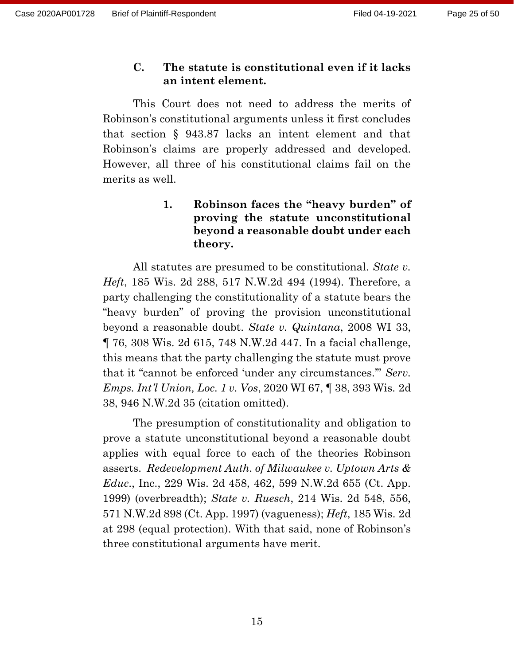#### **C. The statute is constitutional even if it lacks an intent element.**

This Court does not need to address the merits of Robinson's constitutional arguments unless it first concludes that section § 943.87 lacks an intent element and that Robinson's claims are properly addressed and developed. However, all three of his constitutional claims fail on the merits as well.

## **1. Robinson faces the "heavy burden" of proving the statute unconstitutional beyond a reasonable doubt under each theory.**

All statutes are presumed to be constitutional. *State v. Heft*, 185 Wis. 2d 288, 517 N.W.2d 494 (1994). Therefore, a party challenging the constitutionality of a statute bears the "heavy burden" of proving the provision unconstitutional beyond a reasonable doubt. *State v. Quintana*, 2008 WI 33, ¶ 76, 308 Wis. 2d 615, 748 N.W.2d 447. In a facial challenge, this means that the party challenging the statute must prove that it "cannot be enforced 'under any circumstances.'" *Serv. Emps. Int'l Union, Loc. 1 v. Vos*, 2020 WI 67, ¶ 38, 393 Wis. 2d 38, 946 N.W.2d 35 (citation omitted).

The presumption of constitutionality and obligation to prove a statute unconstitutional beyond a reasonable doubt applies with equal force to each of the theories Robinson asserts. *Redevelopment Auth. of Milwaukee v. Uptown Arts & Educ*., Inc., 229 Wis. 2d 458, 462, 599 N.W.2d 655 (Ct. App. 1999) (overbreadth); *State v. Ruesch*, 214 Wis. 2d 548, 556, 571 N.W.2d 898 (Ct. App. 1997) (vagueness); *Heft*, 185 Wis. 2d at 298 (equal protection). With that said, none of Robinson's three constitutional arguments have merit.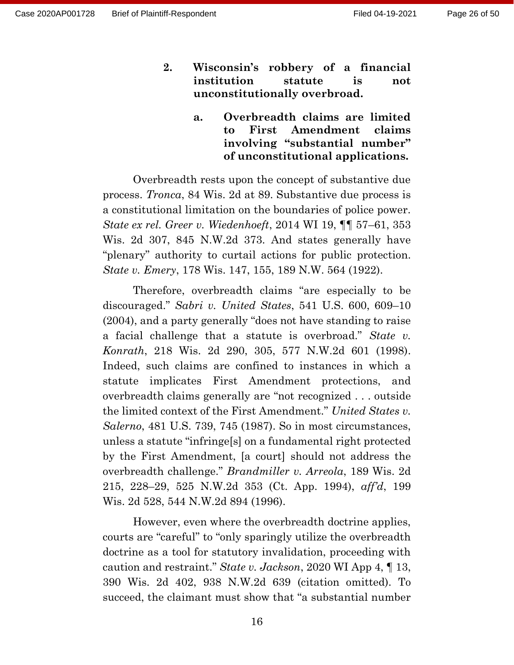- **2. Wisconsin's robbery of a financial institution statute is not unconstitutionally overbroad.**
	- **a. Overbreadth claims are limited to First Amendment claims involving "substantial number" of unconstitutional applications.**

Overbreadth rests upon the concept of substantive due process. *Tronca*, 84 Wis. 2d at 89. Substantive due process is a constitutional limitation on the boundaries of police power. *State ex rel. Greer v. Wiedenhoeft*, 2014 WI 19, ¶¶ 57–61, 353 Wis. 2d 307, 845 N.W.2d 373. And states generally have "plenary" authority to curtail actions for public protection. *State v. Emery*, 178 Wis. 147, 155, 189 N.W. 564 (1922).

Therefore, overbreadth claims "are especially to be discouraged." *Sabri v. United States*, 541 U.S. 600, 609–10 (2004), and a party generally "does not have standing to raise a facial challenge that a statute is overbroad." *State v. Konrath*, 218 Wis. 2d 290, 305, 577 N.W.2d 601 (1998). Indeed, such claims are confined to instances in which a statute implicates First Amendment protections, and overbreadth claims generally are "not recognized . . . outside the limited context of the First Amendment." *United States v. Salerno*, 481 U.S. 739, 745 (1987). So in most circumstances, unless a statute "infringe[s] on a fundamental right protected by the First Amendment, [a court] should not address the overbreadth challenge." *Brandmiller v. Arreola*, 189 Wis. 2d 215, 228–29, 525 N.W.2d 353 (Ct. App. 1994), *aff'd*, 199 Wis. 2d 528, 544 N.W.2d 894 (1996).

However, even where the overbreadth doctrine applies, courts are "careful" to "only sparingly utilize the overbreadth doctrine as a tool for statutory invalidation, proceeding with caution and restraint." *State v. Jackson*, 2020 WI App 4, ¶ 13, 390 Wis. 2d 402, 938 N.W.2d 639 (citation omitted). To succeed, the claimant must show that "a substantial number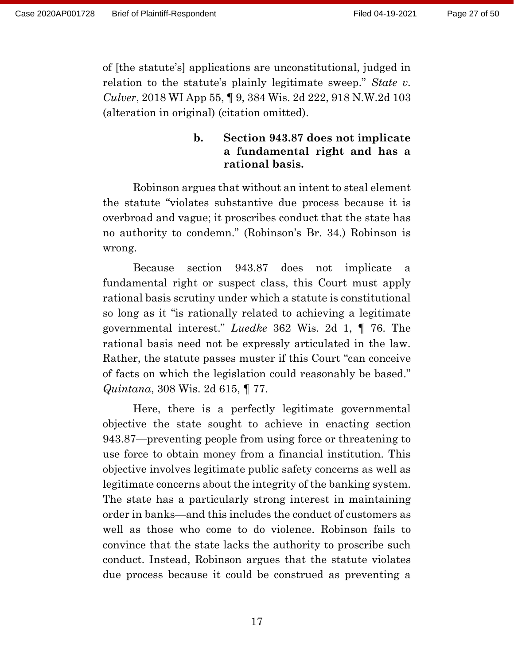of [the statute's] applications are unconstitutional, judged in relation to the statute's plainly legitimate sweep." *State v. Culver*, 2018 WI App 55, ¶ 9, 384 Wis. 2d 222, 918 N.W.2d 103 (alteration in original) (citation omitted).

#### **b. Section 943.87 does not implicate a fundamental right and has a rational basis.**

Robinson argues that without an intent to steal element the statute "violates substantive due process because it is overbroad and vague; it proscribes conduct that the state has no authority to condemn." (Robinson's Br. 34.) Robinson is wrong.

Because section 943.87 does not implicate a fundamental right or suspect class, this Court must apply rational basis scrutiny under which a statute is constitutional so long as it "is rationally related to achieving a legitimate governmental interest." *Luedke* 362 Wis. 2d 1, ¶ 76. The rational basis need not be expressly articulated in the law. Rather, the statute passes muster if this Court "can conceive of facts on which the legislation could reasonably be based." *Quintana*, 308 Wis. 2d 615, ¶ 77.

Here, there is a perfectly legitimate governmental objective the state sought to achieve in enacting section 943.87—preventing people from using force or threatening to use force to obtain money from a financial institution. This objective involves legitimate public safety concerns as well as legitimate concerns about the integrity of the banking system. The state has a particularly strong interest in maintaining order in banks—and this includes the conduct of customers as well as those who come to do violence. Robinson fails to convince that the state lacks the authority to proscribe such conduct. Instead, Robinson argues that the statute violates due process because it could be construed as preventing a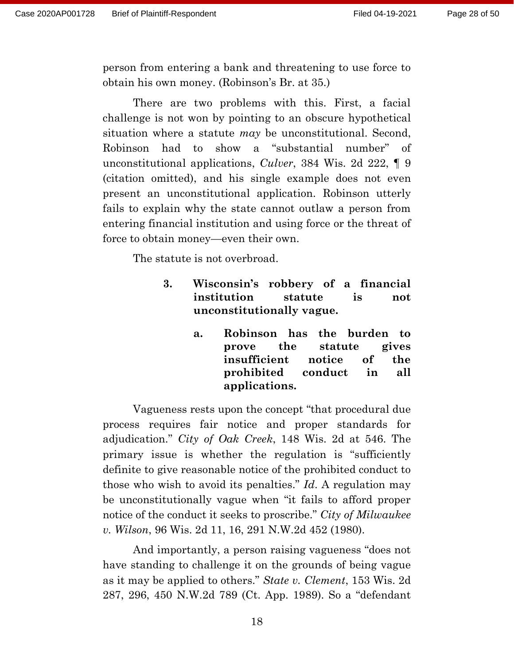person from entering a bank and threatening to use force to obtain his own money. (Robinson's Br. at 35.)

There are two problems with this. First, a facial challenge is not won by pointing to an obscure hypothetical situation where a statute *may* be unconstitutional. Second, Robinson had to show a "substantial number" of unconstitutional applications, *Culver*, 384 Wis. 2d 222, ¶ 9 (citation omitted), and his single example does not even present an unconstitutional application. Robinson utterly fails to explain why the state cannot outlaw a person from entering financial institution and using force or the threat of force to obtain money—even their own.

The statute is not overbroad.

- **3. Wisconsin's robbery of a financial institution statute is not unconstitutionally vague.**
	- **a. Robinson has the burden to prove the statute gives insufficient notice of the prohibited conduct in all applications.**

Vagueness rests upon the concept "that procedural due process requires fair notice and proper standards for adjudication." *City of Oak Creek*, 148 Wis. 2d at 546. The primary issue is whether the regulation is "sufficiently definite to give reasonable notice of the prohibited conduct to those who wish to avoid its penalties." *Id*. A regulation may be unconstitutionally vague when "it fails to afford proper notice of the conduct it seeks to proscribe." *City of Milwaukee v. Wilson*, 96 Wis. 2d 11, 16, 291 N.W.2d 452 (1980).

And importantly, a person raising vagueness "does not have standing to challenge it on the grounds of being vague as it may be applied to others." *State v. Clement*, 153 Wis. 2d 287, 296, 450 N.W.2d 789 (Ct. App. 1989). So a "defendant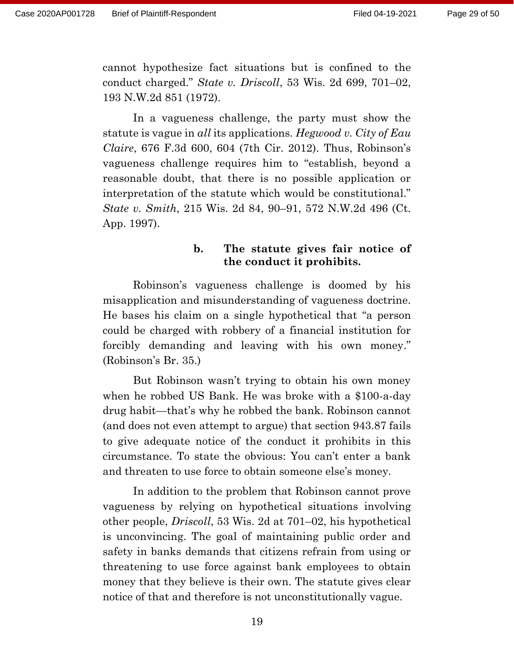cannot hypothesize fact situations but is confined to the conduct charged." *State v. Driscoll*, 53 Wis. 2d 699, 701–02, 193 N.W.2d 851 (1972).

In a vagueness challenge, the party must show the statute is vague in *all* its applications. *Hegwood v. City of Eau Claire*, 676 F.3d 600, 604 (7th Cir. 2012). Thus, Robinson's vagueness challenge requires him to "establish, beyond a reasonable doubt, that there is no possible application or interpretation of the statute which would be constitutional." *State v. Smith*, 215 Wis. 2d 84, 90–91, 572 N.W.2d 496 (Ct. App. 1997).

## **b. The statute gives fair notice of the conduct it prohibits.**

Robinson's vagueness challenge is doomed by his misapplication and misunderstanding of vagueness doctrine. He bases his claim on a single hypothetical that "a person could be charged with robbery of a financial institution for forcibly demanding and leaving with his own money." (Robinson's Br. 35.)

But Robinson wasn't trying to obtain his own money when he robbed US Bank. He was broke with a \$100-a-day drug habit—that's why he robbed the bank. Robinson cannot (and does not even attempt to argue) that section 943.87 fails to give adequate notice of the conduct it prohibits in this circumstance. To state the obvious: You can't enter a bank and threaten to use force to obtain someone else's money.

In addition to the problem that Robinson cannot prove vagueness by relying on hypothetical situations involving other people, *Driscoll*, 53 Wis. 2d at 701–02, his hypothetical is unconvincing. The goal of maintaining public order and safety in banks demands that citizens refrain from using or threatening to use force against bank employees to obtain money that they believe is their own. The statute gives clear notice of that and therefore is not unconstitutionally vague.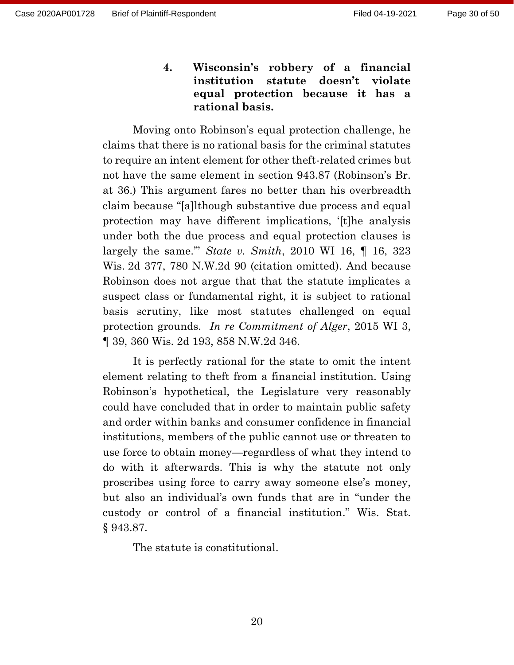**4. Wisconsin's robbery of a financial institution statute doesn't violate equal protection because it has a rational basis.**

Moving onto Robinson's equal protection challenge, he claims that there is no rational basis for the criminal statutes to require an intent element for other theft-related crimes but not have the same element in section 943.87 (Robinson's Br. at 36.) This argument fares no better than his overbreadth claim because "[a]lthough substantive due process and equal protection may have different implications, '[t]he analysis under both the due process and equal protection clauses is largely the same.'" *State v. Smith*, 2010 WI 16, ¶ 16, 323 Wis. 2d 377, 780 N.W.2d 90 (citation omitted). And because Robinson does not argue that that the statute implicates a suspect class or fundamental right, it is subject to rational basis scrutiny, like most statutes challenged on equal protection grounds. *In re Commitment of Alger*, 2015 WI 3, ¶ 39, 360 Wis. 2d 193, 858 N.W.2d 346.

It is perfectly rational for the state to omit the intent element relating to theft from a financial institution. Using Robinson's hypothetical, the Legislature very reasonably could have concluded that in order to maintain public safety and order within banks and consumer confidence in financial institutions, members of the public cannot use or threaten to use force to obtain money—regardless of what they intend to do with it afterwards. This is why the statute not only proscribes using force to carry away someone else's money, but also an individual's own funds that are in "under the custody or control of a financial institution." Wis. Stat. § 943.87.

The statute is constitutional.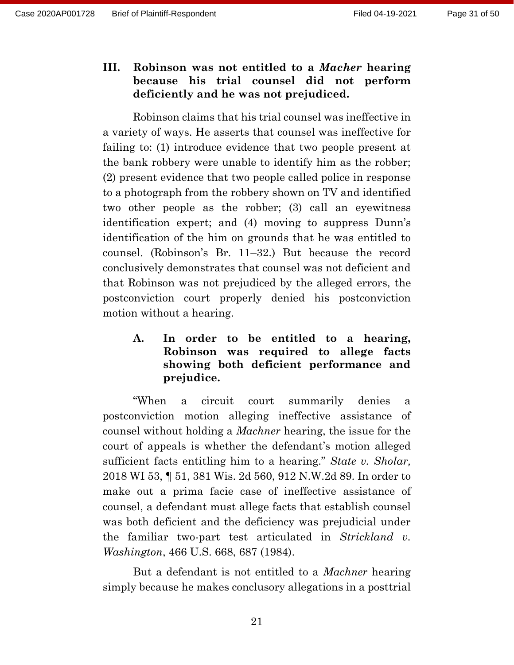## **III. Robinson was not entitled to a** *Macher* **hearing because his trial counsel did not perform deficiently and he was not prejudiced.**

Robinson claims that his trial counsel was ineffective in a variety of ways. He asserts that counsel was ineffective for failing to: (1) introduce evidence that two people present at the bank robbery were unable to identify him as the robber; (2) present evidence that two people called police in response to a photograph from the robbery shown on TV and identified two other people as the robber; (3) call an eyewitness identification expert; and (4) moving to suppress Dunn's identification of the him on grounds that he was entitled to counsel. (Robinson's Br. 11–32.) But because the record conclusively demonstrates that counsel was not deficient and that Robinson was not prejudiced by the alleged errors, the postconviction court properly denied his postconviction motion without a hearing.

## **A. In order to be entitled to a hearing, Robinson was required to allege facts showing both deficient performance and prejudice.**

"When a circuit court summarily denies a postconviction motion alleging ineffective assistance of counsel without holding a *Machner* hearing, the issue for the court of appeals is whether the defendant's motion alleged sufficient facts entitling him to a hearing." *State v. Sholar,* 2018 WI 53, ¶ 51, 381 Wis. 2d 560, 912 N.W.2d 89. In order to make out a prima facie case of ineffective assistance of counsel, a defendant must allege facts that establish counsel was both deficient and the deficiency was prejudicial under the familiar two-part test articulated in *Strickland v. Washington*, 466 U.S. 668, 687 (1984).

But a defendant is not entitled to a *Machner* hearing simply because he makes conclusory allegations in a posttrial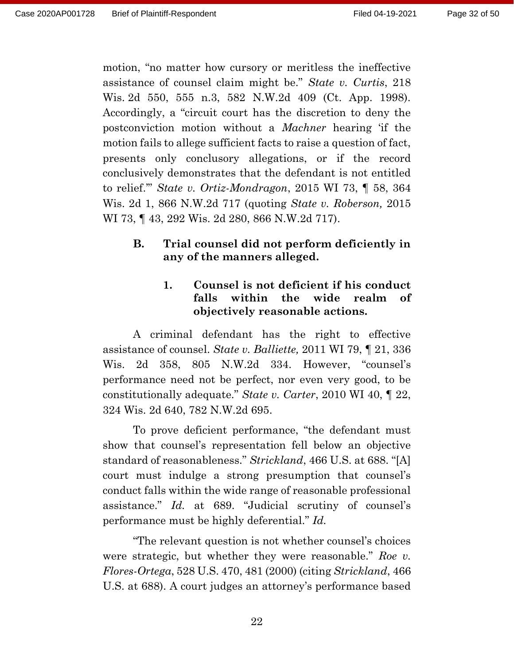motion, "no matter how cursory or meritless the ineffective assistance of counsel claim might be." *State v. Curtis*, 218 Wis. 2d 550, 555 n.3, 582 N.W.2d 409 (Ct. App. 1998). Accordingly, a "circuit court has the discretion to deny the postconviction motion without a *Machner* hearing 'if the motion fails to allege sufficient facts to raise a question of fact, presents only conclusory allegations, or if the record conclusively demonstrates that the defendant is not entitled to relief.'" *State v. Ortiz-Mondragon*, 2015 WI 73, ¶ 58, 364 Wis. 2d 1, 866 N.W.2d 717 (quoting *State v. Roberson,* 2015 WI 73, ¶ 43, 292 Wis. 2d 280, 866 N.W.2d 717).

## **B. Trial counsel did not perform deficiently in any of the manners alleged.**

## **1. Counsel is not deficient if his conduct falls within the wide realm of objectively reasonable actions.**

A criminal defendant has the right to effective assistance of counsel. *State v. Balliette,* 2011 WI 79, ¶ 21, 336 Wis. 2d 358, 805 N.W.2d 334. However, "counsel's performance need not be perfect, nor even very good, to be constitutionally adequate." *State v. Carter*, 2010 WI 40, ¶ 22, 324 Wis. 2d 640, 782 N.W.2d 695.

To prove deficient performance, "the defendant must show that counsel's representation fell below an objective standard of reasonableness." *Strickland*, 466 U.S. at 688. "[A] court must indulge a strong presumption that counsel's conduct falls within the wide range of reasonable professional assistance." *Id.* at 689. "Judicial scrutiny of counsel's performance must be highly deferential." *Id.*

"The relevant question is not whether counsel's choices were strategic, but whether they were reasonable." *Roe v. Flores-Ortega*, 528 U.S. 470, 481 (2000) (citing *Strickland*, 466 U.S. at 688). A court judges an attorney's performance based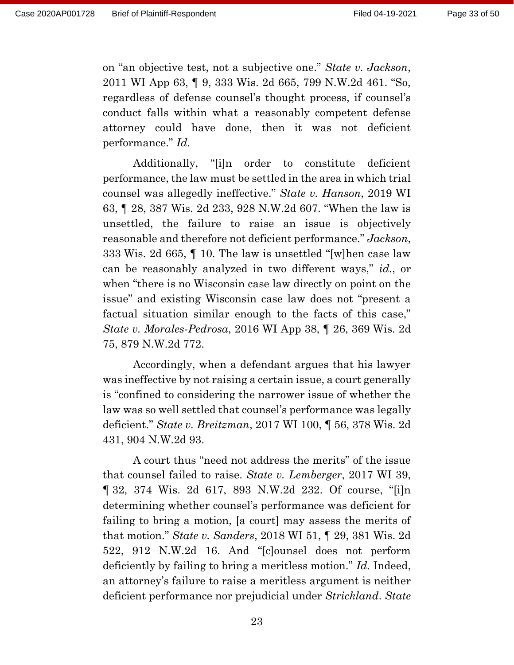on "an objective test, not a subjective one." *State v. Jackson*, 2011 WI App 63, ¶ 9, 333 Wis. 2d 665, 799 N.W.2d 461. "So, regardless of defense counsel's thought process, if counsel's conduct falls within what a reasonably competent defense attorney could have done, then it was not deficient performance." *Id.*

Additionally, "[i]n order to constitute deficient performance, the law must be settled in the area in which trial counsel was allegedly ineffective." *State v. Hanson*, 2019 WI 63, ¶ 28, 387 Wis. 2d 233, 928 N.W.2d 607. "When the law is unsettled, the failure to raise an issue is objectively reasonable and therefore not deficient performance." *Jackson*, 333 Wis. 2d 665, ¶ 10. The law is unsettled "[w]hen case law can be reasonably analyzed in two different ways," *id.*, or when "there is no Wisconsin case law directly on point on the issue" and existing Wisconsin case law does not "present a factual situation similar enough to the facts of this case," *State v. Morales-Pedrosa*, 2016 WI App 38, ¶ 26, 369 Wis. 2d 75, 879 N.W.2d 772.

Accordingly, when a defendant argues that his lawyer was ineffective by not raising a certain issue, a court generally is "confined to considering the narrower issue of whether the law was so well settled that counsel's performance was legally deficient." *State v. Breitzman*, 2017 WI 100, ¶ 56, 378 Wis. 2d 431, 904 N.W.2d 93.

A court thus "need not address the merits" of the issue that counsel failed to raise. *State v. Lemberger*, 2017 WI 39, ¶ 32, 374 Wis. 2d 617, 893 N.W.2d 232. Of course, "[i]n determining whether counsel's performance was deficient for failing to bring a motion, [a court] may assess the merits of that motion." *State v. Sanders*, 2018 WI 51, ¶ 29, 381 Wis. 2d 522, 912 N.W.2d 16. And "[c]ounsel does not perform deficiently by failing to bring a meritless motion." *Id.* Indeed, an attorney's failure to raise a meritless argument is neither deficient performance nor prejudicial under *Strickland*. *State*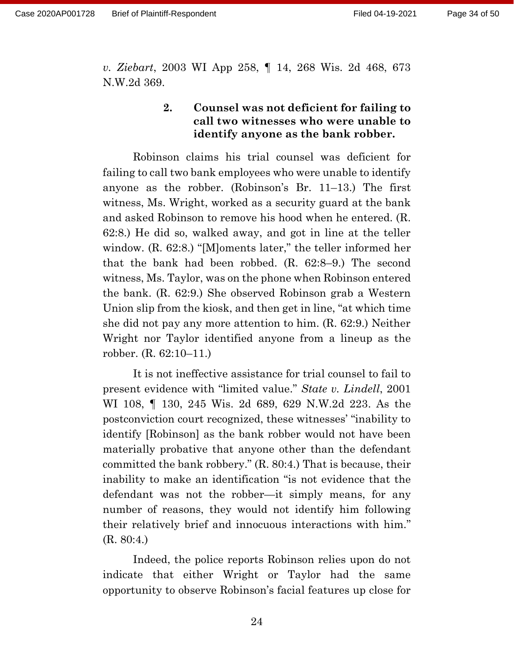*v. Ziebart*, 2003 WI App 258, ¶ 14, 268 Wis. 2d 468, 673 N.W.2d 369.

### **2. Counsel was not deficient for failing to call two witnesses who were unable to identify anyone as the bank robber.**

Robinson claims his trial counsel was deficient for failing to call two bank employees who were unable to identify anyone as the robber. (Robinson's Br. 11–13.) The first witness, Ms. Wright, worked as a security guard at the bank and asked Robinson to remove his hood when he entered. (R. 62:8.) He did so, walked away, and got in line at the teller window. (R. 62:8.) "[M]oments later," the teller informed her that the bank had been robbed. (R. 62:8–9.) The second witness, Ms. Taylor, was on the phone when Robinson entered the bank. (R. 62:9.) She observed Robinson grab a Western Union slip from the kiosk, and then get in line, "at which time she did not pay any more attention to him. (R. 62:9.) Neither Wright nor Taylor identified anyone from a lineup as the robber. (R. 62:10–11.)

It is not ineffective assistance for trial counsel to fail to present evidence with "limited value." *State v. Lindell*, 2001 WI 108, ¶ 130, 245 Wis. 2d 689, 629 N.W.2d 223. As the postconviction court recognized, these witnesses' "inability to identify [Robinson] as the bank robber would not have been materially probative that anyone other than the defendant committed the bank robbery." (R. 80:4.) That is because, their inability to make an identification "is not evidence that the defendant was not the robber—it simply means, for any number of reasons, they would not identify him following their relatively brief and innocuous interactions with him." (R. 80:4.)

Indeed, the police reports Robinson relies upon do not indicate that either Wright or Taylor had the same opportunity to observe Robinson's facial features up close for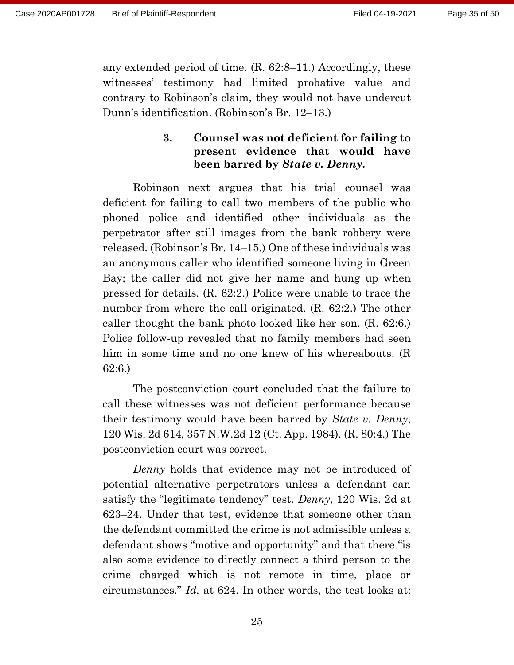any extended period of time. (R. 62:8–11.) Accordingly, these witnesses' testimony had limited probative value and contrary to Robinson's claim, they would not have undercut Dunn's identification. (Robinson's Br. 12–13.)

### **3. Counsel was not deficient for failing to present evidence that would have been barred by** *State v. Denny***.**

Robinson next argues that his trial counsel was deficient for failing to call two members of the public who phoned police and identified other individuals as the perpetrator after still images from the bank robbery were released. (Robinson's Br. 14–15.) One of these individuals was an anonymous caller who identified someone living in Green Bay; the caller did not give her name and hung up when pressed for details. (R. 62:2.) Police were unable to trace the number from where the call originated. (R. 62:2.) The other caller thought the bank photo looked like her son. (R. 62:6.) Police follow-up revealed that no family members had seen him in some time and no one knew of his whereabouts. (R 62:6.)

The postconviction court concluded that the failure to call these witnesses was not deficient performance because their testimony would have been barred by *State v. Denny*, 120 Wis. 2d 614, 357 N.W.2d 12 (Ct. App. 1984). (R. 80:4.) The postconviction court was correct.

*Denny* holds that evidence may not be introduced of potential alternative perpetrators unless a defendant can satisfy the "legitimate tendency" test. *Denny*, 120 Wis. 2d at 623–24. Under that test, evidence that someone other than the defendant committed the crime is not admissible unless a defendant shows "motive and opportunity" and that there "is also some evidence to directly connect a third person to the crime charged which is not remote in time, place or circumstances." *Id.* at 624. In other words, the test looks at: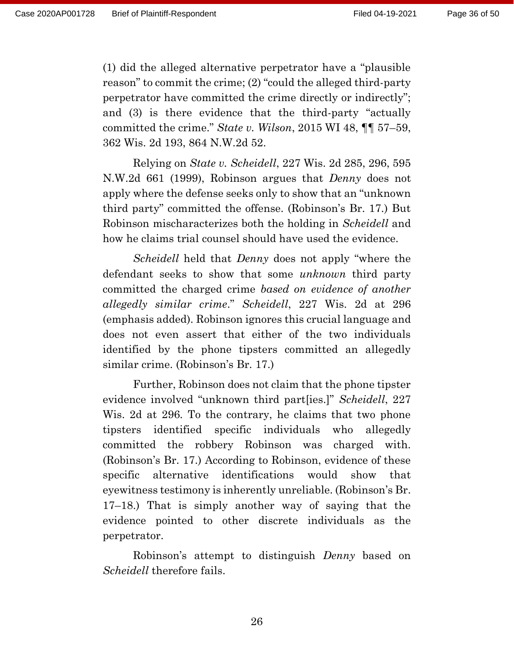(1) did the alleged alternative perpetrator have a "plausible reason" to commit the crime; (2) "could the alleged third-party perpetrator have committed the crime directly or indirectly"; and (3) is there evidence that the third-party "actually committed the crime." *State v. Wilson*, 2015 WI 48, ¶¶ 57–59, 362 Wis. 2d 193, 864 N.W.2d 52.

Relying on *State v. Scheidell*, 227 Wis. 2d 285, 296, 595 N.W.2d 661 (1999), Robinson argues that *Denny* does not apply where the defense seeks only to show that an "unknown third party" committed the offense. (Robinson's Br. 17.) But Robinson mischaracterizes both the holding in *Scheidell* and how he claims trial counsel should have used the evidence.

*Scheidell* held that *Denny* does not apply "where the defendant seeks to show that some *unknown* third party committed the charged crime *based on evidence of another allegedly similar crime*." *Scheidell*, 227 Wis. 2d at 296 (emphasis added). Robinson ignores this crucial language and does not even assert that either of the two individuals identified by the phone tipsters committed an allegedly similar crime. (Robinson's Br. 17.)

Further, Robinson does not claim that the phone tipster evidence involved "unknown third part[ies.]" *Scheidell*, 227 Wis. 2d at 296*.* To the contrary, he claims that two phone tipsters identified specific individuals who allegedly committed the robbery Robinson was charged with. (Robinson's Br. 17.) According to Robinson, evidence of these specific alternative identifications would show that eyewitness testimony is inherently unreliable. (Robinson's Br. 17–18.) That is simply another way of saying that the evidence pointed to other discrete individuals as the perpetrator.

Robinson's attempt to distinguish *Denny* based on *Scheidell* therefore fails.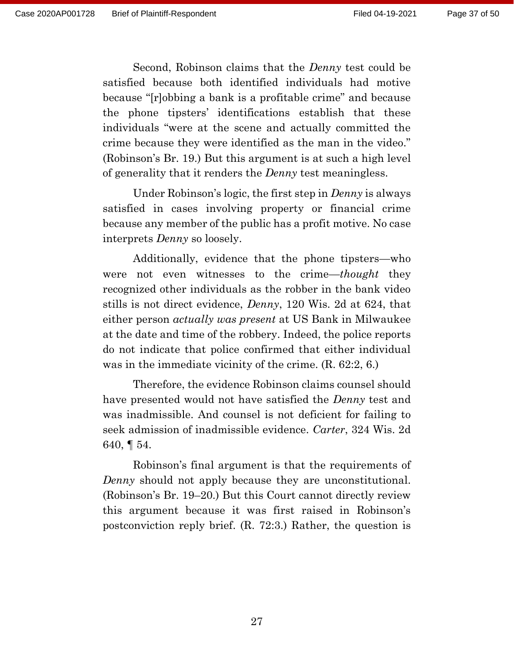Second, Robinson claims that the *Denny* test could be satisfied because both identified individuals had motive because "[r]obbing a bank is a profitable crime" and because the phone tipsters' identifications establish that these individuals "were at the scene and actually committed the crime because they were identified as the man in the video." (Robinson's Br. 19.) But this argument is at such a high level of generality that it renders the *Denny* test meaningless.

Under Robinson's logic, the first step in *Denny* is always satisfied in cases involving property or financial crime because any member of the public has a profit motive. No case interprets *Denny* so loosely.

Additionally, evidence that the phone tipsters—who were not even witnesses to the crime—*thought* they recognized other individuals as the robber in the bank video stills is not direct evidence, *Denny*, 120 Wis. 2d at 624, that either person *actually was present* at US Bank in Milwaukee at the date and time of the robbery. Indeed, the police reports do not indicate that police confirmed that either individual was in the immediate vicinity of the crime. (R. 62:2, 6.)

Therefore, the evidence Robinson claims counsel should have presented would not have satisfied the *Denny* test and was inadmissible. And counsel is not deficient for failing to seek admission of inadmissible evidence. *Carter*, 324 Wis. 2d 640, ¶ 54.

Robinson's final argument is that the requirements of *Denny* should not apply because they are unconstitutional. (Robinson's Br. 19–20.) But this Court cannot directly review this argument because it was first raised in Robinson's postconviction reply brief. (R. 72:3.) Rather, the question is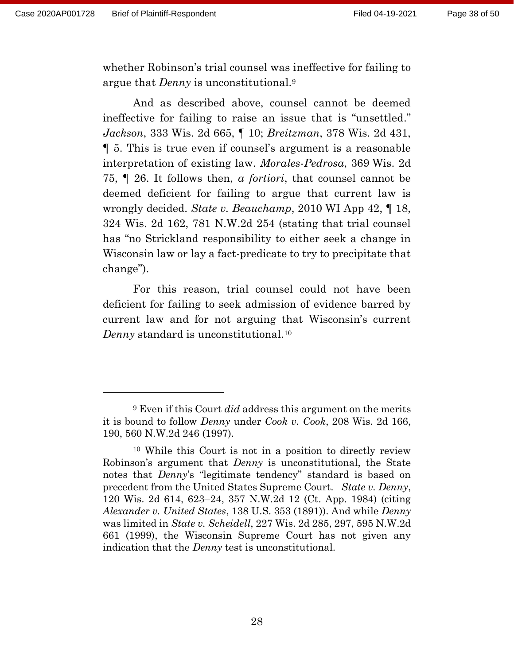whether Robinson's trial counsel was ineffective for failing to argue that *Denny* is unconstitutional.<sup>9</sup>

And as described above, counsel cannot be deemed ineffective for failing to raise an issue that is "unsettled." *Jackson*, 333 Wis. 2d 665, ¶ 10; *Breitzman*, 378 Wis. 2d 431, ¶ 5. This is true even if counsel's argument is a reasonable interpretation of existing law. *Morales-Pedrosa*, 369 Wis. 2d 75, ¶ 26. It follows then, *a fortiori*, that counsel cannot be deemed deficient for failing to argue that current law is wrongly decided. *State v. Beauchamp*, 2010 WI App 42, ¶ 18, 324 Wis. 2d 162, 781 N.W.2d 254 (stating that trial counsel has "no Strickland responsibility to either seek a change in Wisconsin law or lay a fact-predicate to try to precipitate that change").

For this reason, trial counsel could not have been deficient for failing to seek admission of evidence barred by current law and for not arguing that Wisconsin's current *Denny* standard is unconstitutional.<sup>10</sup>

<sup>9</sup> Even if this Court *did* address this argument on the merits it is bound to follow *Denny* under *Cook v. Cook*, 208 Wis. 2d 166, 190, 560 N.W.2d 246 (1997).

<sup>10</sup> While this Court is not in a position to directly review Robinson's argument that *Denny* is unconstitutional, the State notes that *Denny*'s "legitimate tendency" standard is based on precedent from the United States Supreme Court. *State v. Denny*, 120 Wis. 2d 614, 623–24, 357 N.W.2d 12 (Ct. App. 1984) (citing *Alexander v. United States*, 138 U.S. 353 (1891)). And while *Denny* was limited in *State v. Scheidell*, 227 Wis. 2d 285, 297, 595 N.W.2d 661 (1999), the Wisconsin Supreme Court has not given any indication that the *Denny* test is unconstitutional.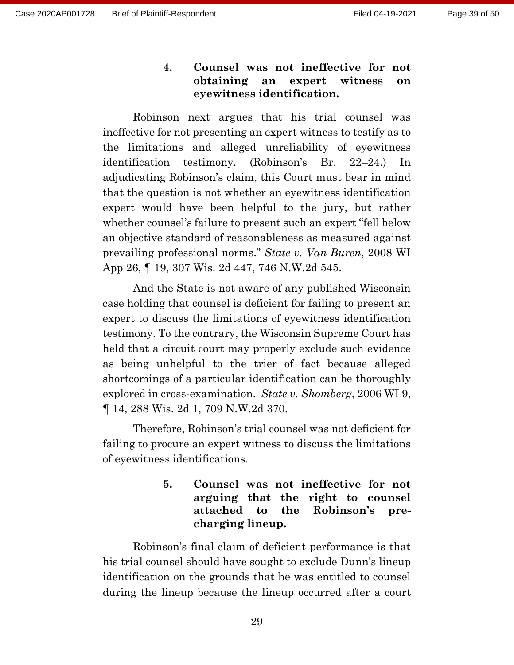**4. Counsel was not ineffective for not obtaining an expert witness on eyewitness identification.**

Robinson next argues that his trial counsel was ineffective for not presenting an expert witness to testify as to the limitations and alleged unreliability of eyewitness identification testimony. (Robinson's Br. 22–24.) In adjudicating Robinson's claim, this Court must bear in mind that the question is not whether an eyewitness identification expert would have been helpful to the jury, but rather whether counsel's failure to present such an expert "fell below an objective standard of reasonableness as measured against prevailing professional norms." *State v. Van Buren*, 2008 WI App 26, ¶ 19, 307 Wis. 2d 447, 746 N.W.2d 545.

And the State is not aware of any published Wisconsin case holding that counsel is deficient for failing to present an expert to discuss the limitations of eyewitness identification testimony. To the contrary, the Wisconsin Supreme Court has held that a circuit court may properly exclude such evidence as being unhelpful to the trier of fact because alleged shortcomings of a particular identification can be thoroughly explored in cross-examination. *State v. Shomberg*, 2006 WI 9, ¶ 14, 288 Wis. 2d 1, 709 N.W.2d 370.

Therefore, Robinson's trial counsel was not deficient for failing to procure an expert witness to discuss the limitations of eyewitness identifications.

## **5. Counsel was not ineffective for not arguing that the right to counsel attached to the Robinson's precharging lineup.**

Robinson's final claim of deficient performance is that his trial counsel should have sought to exclude Dunn's lineup identification on the grounds that he was entitled to counsel during the lineup because the lineup occurred after a court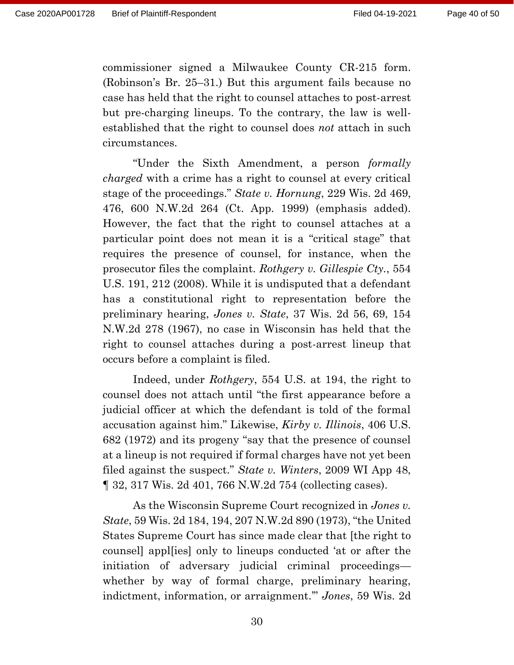commissioner signed a Milwaukee County CR-215 form. (Robinson's Br. 25–31.) But this argument fails because no case has held that the right to counsel attaches to post-arrest but pre-charging lineups. To the contrary, the law is wellestablished that the right to counsel does *not* attach in such circumstances.

"Under the Sixth Amendment, a person *formally charged* with a crime has a right to counsel at every critical stage of the proceedings." *State v. Hornung*, 229 Wis. 2d 469, 476, 600 N.W.2d 264 (Ct. App. 1999) (emphasis added). However, the fact that the right to counsel attaches at a particular point does not mean it is a "critical stage" that requires the presence of counsel, for instance, when the prosecutor files the complaint. *Rothgery v. Gillespie Cty.*, 554 U.S. 191, 212 (2008). While it is undisputed that a defendant has a constitutional right to representation before the preliminary hearing, *Jones v. State*, 37 Wis. 2d 56, 69, 154 N.W.2d 278 (1967), no case in Wisconsin has held that the right to counsel attaches during a post-arrest lineup that occurs before a complaint is filed.

Indeed, under *Rothgery*, 554 U.S. at 194, the right to counsel does not attach until "the first appearance before a judicial officer at which the defendant is told of the formal accusation against him." Likewise, *Kirby v. Illinois*, 406 U.S. 682 (1972) and its progeny "say that the presence of counsel at a lineup is not required if formal charges have not yet been filed against the suspect." *State v. Winters*, 2009 WI App 48, ¶ 32, 317 Wis. 2d 401, 766 N.W.2d 754 (collecting cases).

As the Wisconsin Supreme Court recognized in *Jones v. State*, 59 Wis. 2d 184, 194, 207 N.W.2d 890 (1973), "the United States Supreme Court has since made clear that [the right to counsel] appl[ies] only to lineups conducted 'at or after the initiation of adversary judicial criminal proceedings whether by way of formal charge, preliminary hearing, indictment, information, or arraignment.'" *Jones*, 59 Wis. 2d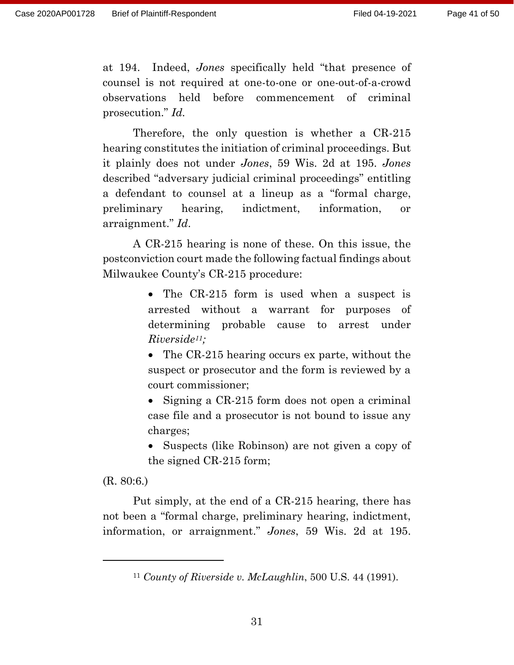at 194. Indeed, *Jones* specifically held "that presence of counsel is not required at one-to-one or one-out-of-a-crowd observations held before commencement of criminal prosecution." *Id.*

Therefore, the only question is whether a CR-215 hearing constitutes the initiation of criminal proceedings. But it plainly does not under *Jones*, 59 Wis. 2d at 195. *Jones*  described "adversary judicial criminal proceedings" entitling a defendant to counsel at a lineup as a "formal charge, preliminary hearing, indictment, information, or arraignment." *Id*.

A CR-215 hearing is none of these. On this issue, the postconviction court made the following factual findings about Milwaukee County's CR-215 procedure:

> • The CR-215 form is used when a suspect is arrested without a warrant for purposes of determining probable cause to arrest under *Riverside11;*

> • The CR-215 hearing occurs ex parte, without the suspect or prosecutor and the form is reviewed by a court commissioner;

- Signing a CR-215 form does not open a criminal case file and a prosecutor is not bound to issue any charges;
- Suspects (like Robinson) are not given a copy of the signed CR-215 form;

(R. 80:6.)

Put simply, at the end of a CR-215 hearing, there has not been a "formal charge, preliminary hearing, indictment, information, or arraignment." *Jones*, 59 Wis. 2d at 195.

<sup>11</sup> *County of Riverside v. McLaughlin*, 500 U.S. 44 (1991).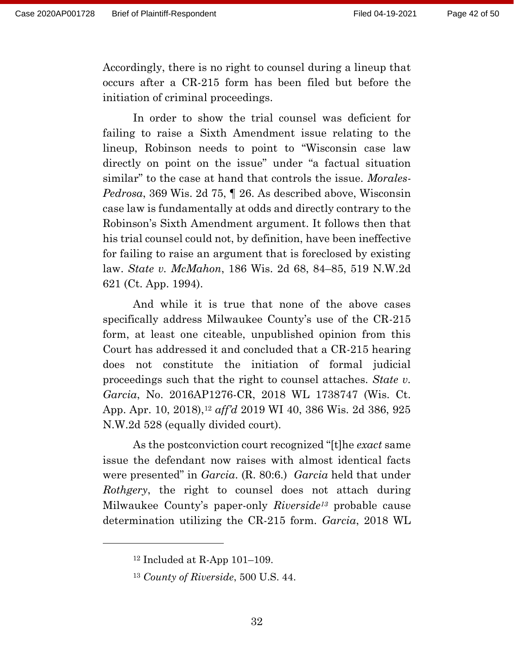Accordingly, there is no right to counsel during a lineup that occurs after a CR-215 form has been filed but before the initiation of criminal proceedings.

In order to show the trial counsel was deficient for failing to raise a Sixth Amendment issue relating to the lineup, Robinson needs to point to "Wisconsin case law directly on point on the issue" under "a factual situation similar" to the case at hand that controls the issue. *Morales-Pedrosa*, 369 Wis. 2d 75, ¶ 26. As described above, Wisconsin case law is fundamentally at odds and directly contrary to the Robinson's Sixth Amendment argument. It follows then that his trial counsel could not, by definition, have been ineffective for failing to raise an argument that is foreclosed by existing law. *State v. McMahon*, 186 Wis. 2d 68, 84–85, 519 N.W.2d 621 (Ct. App. 1994).

And while it is true that none of the above cases specifically address Milwaukee County's use of the CR-215 form, at least one citeable, unpublished opinion from this Court has addressed it and concluded that a CR-215 hearing does not constitute the initiation of formal judicial proceedings such that the right to counsel attaches. *State v. Garcia*, No. 2016AP1276-CR, 2018 WL 1738747 (Wis. Ct. App. Apr. 10, 2018), <sup>12</sup> *aff'd* 2019 WI 40, 386 Wis. 2d 386, 925 N.W.2d 528 (equally divided court).

As the postconviction court recognized "[t]he *exact* same issue the defendant now raises with almost identical facts were presented" in *Garcia*. (R. 80:6.) *Garcia* held that under *Rothgery*, the right to counsel does not attach during Milwaukee County's paper-only *Riverside<sup>13</sup>* probable cause determination utilizing the CR-215 form. *Garcia*, 2018 WL

 $12$  Included at R-App 101–109.

<sup>13</sup> *County of Riverside*, 500 U.S. 44.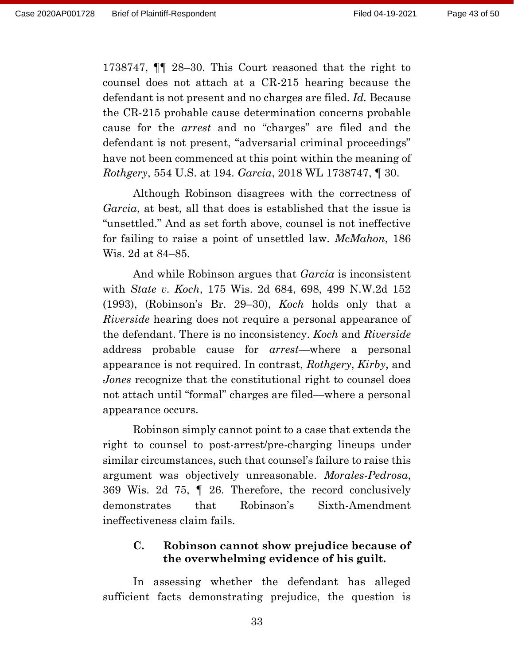1738747, ¶¶ 28–30. This Court reasoned that the right to counsel does not attach at a CR-215 hearing because the defendant is not present and no charges are filed. *Id.* Because the CR-215 probable cause determination concerns probable cause for the *arrest* and no "charges" are filed and the defendant is not present, "adversarial criminal proceedings" have not been commenced at this point within the meaning of *Rothgery*, 554 U.S. at 194. *Garcia*, 2018 WL 1738747, ¶ 30.

Although Robinson disagrees with the correctness of *Garcia*, at best, all that does is established that the issue is "unsettled." And as set forth above, counsel is not ineffective for failing to raise a point of unsettled law. *McMahon*, 186 Wis. 2d at 84–85.

And while Robinson argues that *Garcia* is inconsistent with *State v. Koch*, 175 Wis. 2d 684, 698, 499 N.W.2d 152 (1993), (Robinson's Br. 29–30), *Koch* holds only that a *Riverside* hearing does not require a personal appearance of the defendant. There is no inconsistency. *Koch* and *Riverside* address probable cause for *arrest*—where a personal appearance is not required. In contrast, *Rothgery*, *Kirby*, and *Jones* recognize that the constitutional right to counsel does not attach until "formal" charges are filed—where a personal appearance occurs.

Robinson simply cannot point to a case that extends the right to counsel to post-arrest/pre-charging lineups under similar circumstances, such that counsel's failure to raise this argument was objectively unreasonable. *Morales-Pedrosa*, 369 Wis. 2d 75, ¶ 26. Therefore, the record conclusively demonstrates that Robinson's Sixth-Amendment ineffectiveness claim fails.

### **C. Robinson cannot show prejudice because of the overwhelming evidence of his guilt.**

In assessing whether the defendant has alleged sufficient facts demonstrating prejudice, the question is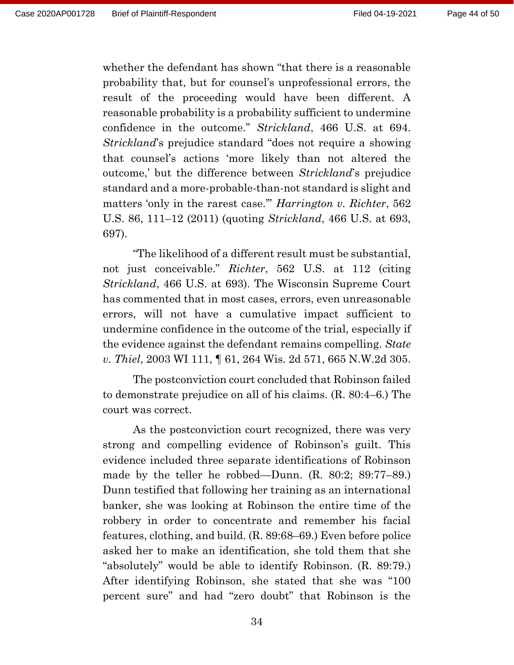whether the defendant has shown "that there is a reasonable probability that, but for counsel's unprofessional errors, the result of the proceeding would have been different. A reasonable probability is a probability sufficient to undermine confidence in the outcome." *Strickland*, 466 U.S. at 694. *Strickland*'s prejudice standard "does not require a showing that counsel's actions 'more likely than not altered the outcome,' but the difference between *Strickland*'s prejudice standard and a more-probable-than-not standard is slight and matters 'only in the rarest case.'" *Harrington v. Richter*, 562 U.S. 86, 111–12 (2011) (quoting *Strickland*, 466 U.S. at 693, 697).

"The likelihood of a different result must be substantial, not just conceivable." *Richter*, 562 U.S. at 112 (citing *Strickland*, 466 U.S. at 693). The Wisconsin Supreme Court has commented that in most cases, errors, even unreasonable errors, will not have a cumulative impact sufficient to undermine confidence in the outcome of the trial, especially if the evidence against the defendant remains compelling. *State v. Thiel*, 2003 WI 111, ¶ 61, 264 Wis. 2d 571, 665 N.W.2d 305.

The postconviction court concluded that Robinson failed to demonstrate prejudice on all of his claims. (R. 80:4–6.) The court was correct.

As the postconviction court recognized, there was very strong and compelling evidence of Robinson's guilt. This evidence included three separate identifications of Robinson made by the teller he robbed—Dunn. (R. 80:2; 89:77–89.) Dunn testified that following her training as an international banker, she was looking at Robinson the entire time of the robbery in order to concentrate and remember his facial features, clothing, and build. (R. 89:68–69.) Even before police asked her to make an identification, she told them that she "absolutely" would be able to identify Robinson. (R. 89:79.) After identifying Robinson, she stated that she was "100 percent sure" and had "zero doubt" that Robinson is the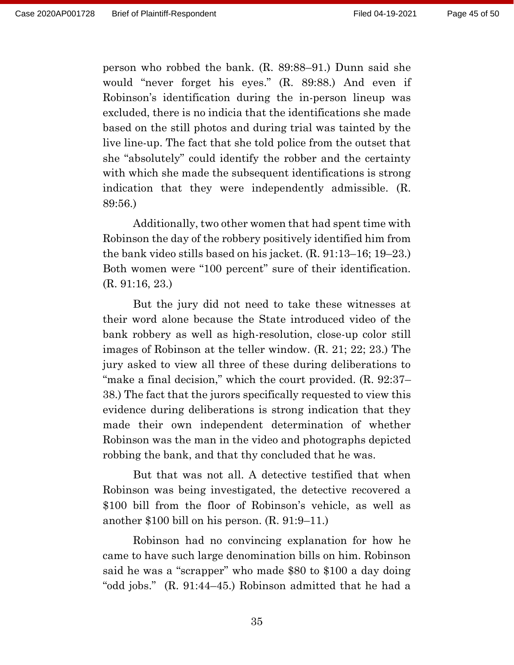person who robbed the bank. (R. 89:88–91.) Dunn said she would "never forget his eyes." (R. 89:88.) And even if Robinson's identification during the in-person lineup was excluded, there is no indicia that the identifications she made based on the still photos and during trial was tainted by the live line-up. The fact that she told police from the outset that she "absolutely" could identify the robber and the certainty with which she made the subsequent identifications is strong indication that they were independently admissible. (R. 89:56.)

Additionally, two other women that had spent time with Robinson the day of the robbery positively identified him from the bank video stills based on his jacket. (R. 91:13–16; 19–23.) Both women were "100 percent" sure of their identification. (R. 91:16, 23.)

But the jury did not need to take these witnesses at their word alone because the State introduced video of the bank robbery as well as high-resolution, close-up color still images of Robinson at the teller window. (R. 21; 22; 23.) The jury asked to view all three of these during deliberations to "make a final decision," which the court provided. (R. 92:37– 38.) The fact that the jurors specifically requested to view this evidence during deliberations is strong indication that they made their own independent determination of whether Robinson was the man in the video and photographs depicted robbing the bank, and that thy concluded that he was.

But that was not all. A detective testified that when Robinson was being investigated, the detective recovered a \$100 bill from the floor of Robinson's vehicle, as well as another \$100 bill on his person. (R. 91:9–11.)

Robinson had no convincing explanation for how he came to have such large denomination bills on him. Robinson said he was a "scrapper" who made \$80 to \$100 a day doing "odd jobs." (R. 91:44–45.) Robinson admitted that he had a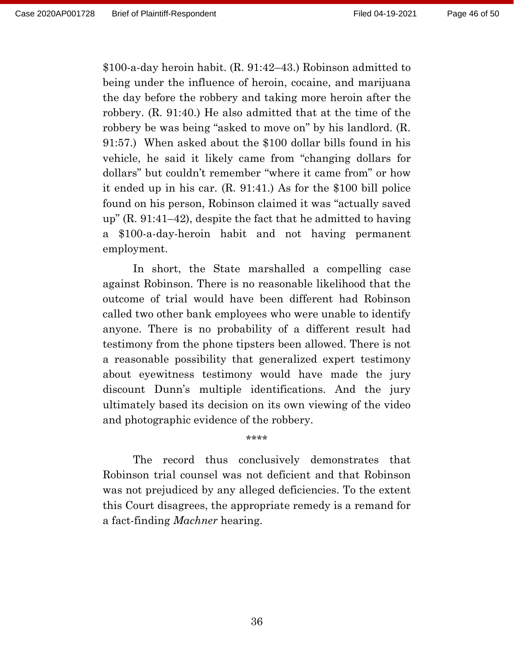\$100-a-day heroin habit. (R. 91:42–43.) Robinson admitted to being under the influence of heroin, cocaine, and marijuana the day before the robbery and taking more heroin after the robbery. (R. 91:40.) He also admitted that at the time of the robbery be was being "asked to move on" by his landlord. (R. 91:57.) When asked about the \$100 dollar bills found in his vehicle, he said it likely came from "changing dollars for dollars" but couldn't remember "where it came from" or how it ended up in his car. (R. 91:41.) As for the \$100 bill police found on his person, Robinson claimed it was "actually saved up" (R. 91:41–42), despite the fact that he admitted to having a \$100-a-day-heroin habit and not having permanent employment.

In short, the State marshalled a compelling case against Robinson. There is no reasonable likelihood that the outcome of trial would have been different had Robinson called two other bank employees who were unable to identify anyone. There is no probability of a different result had testimony from the phone tipsters been allowed. There is not a reasonable possibility that generalized expert testimony about eyewitness testimony would have made the jury discount Dunn's multiple identifications. And the jury ultimately based its decision on its own viewing of the video and photographic evidence of the robbery.

The record thus conclusively demonstrates that Robinson trial counsel was not deficient and that Robinson was not prejudiced by any alleged deficiencies. To the extent this Court disagrees, the appropriate remedy is a remand for a fact-finding *Machner* hearing.

\*\*\*\*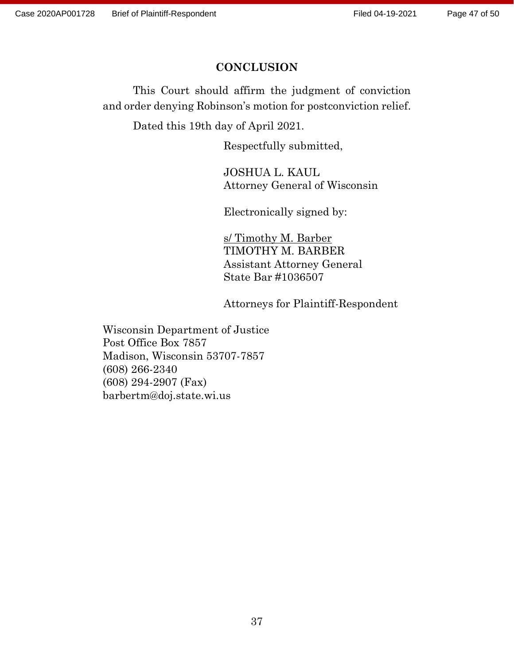### **CONCLUSION**

This Court should affirm the judgment of conviction and order denying Robinson's motion for postconviction relief.

Dated this 19th day of April 2021.

Respectfully submitted,

JOSHUA L. KAUL Attorney General of Wisconsin

Electronically signed by:

s/ Timothy M. Barber TIMOTHY M. BARBER Assistant Attorney General State Bar #1036507

Attorneys for Plaintiff-Respondent

Wisconsin Department of Justice Post Office Box 7857 Madison, Wisconsin 53707-7857 (608) 266-2340 (608) 294-2907 (Fax) barbertm@doj.state.wi.us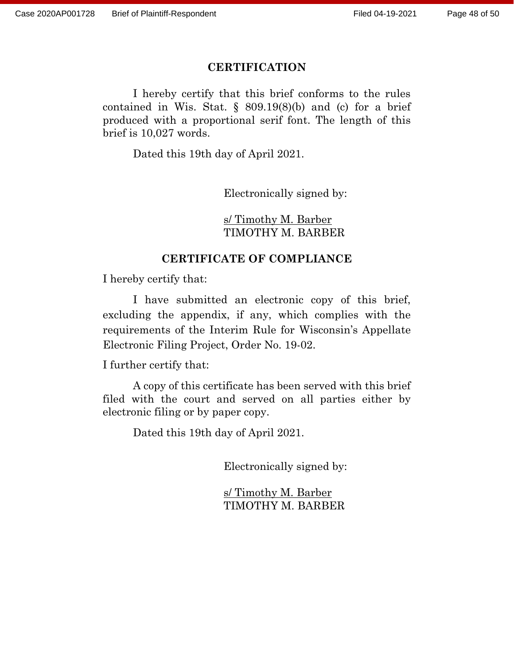#### **CERTIFICATION**

I hereby certify that this brief conforms to the rules contained in Wis. Stat.  $\S$  809.19(8)(b) and (c) for a brief produced with a proportional serif font. The length of this brief is 10,027 words.

Dated this 19th day of April 2021.

Electronically signed by:

s/ Timothy M. Barber TIMOTHY M. BARBER

#### **CERTIFICATE OF COMPLIANCE**

I hereby certify that:

I have submitted an electronic copy of this brief, excluding the appendix, if any, which complies with the requirements of the Interim Rule for Wisconsin's Appellate Electronic Filing Project, Order No. 19-02.

I further certify that:

A copy of this certificate has been served with this brief filed with the court and served on all parties either by electronic filing or by paper copy.

Dated this 19th day of April 2021.

Electronically signed by:

s/ Timothy M. Barber TIMOTHY M. BARBER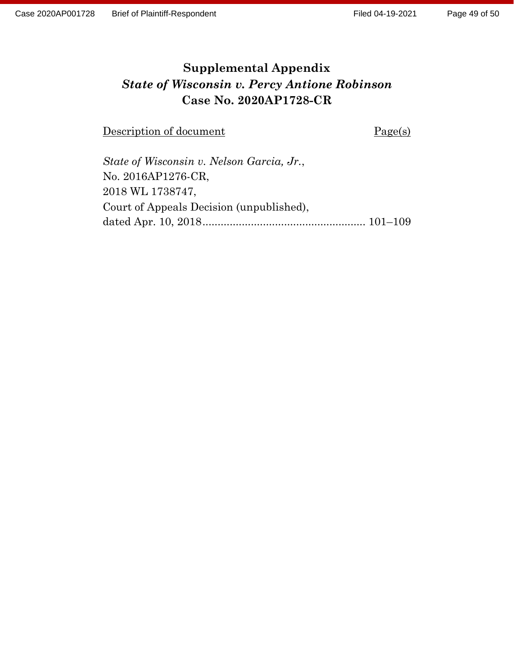# **Supplemental Appendix** *State of Wisconsin v. Percy Antione Robinson* **Case No. 2020AP1728-CR**

Description of document Page(s)

| State of Wisconsin v. Nelson Garcia, Jr., |  |
|-------------------------------------------|--|
| No. 2016AP1276-CR.                        |  |
| 2018 WL 1738747,                          |  |
| Court of Appeals Decision (unpublished),  |  |
|                                           |  |